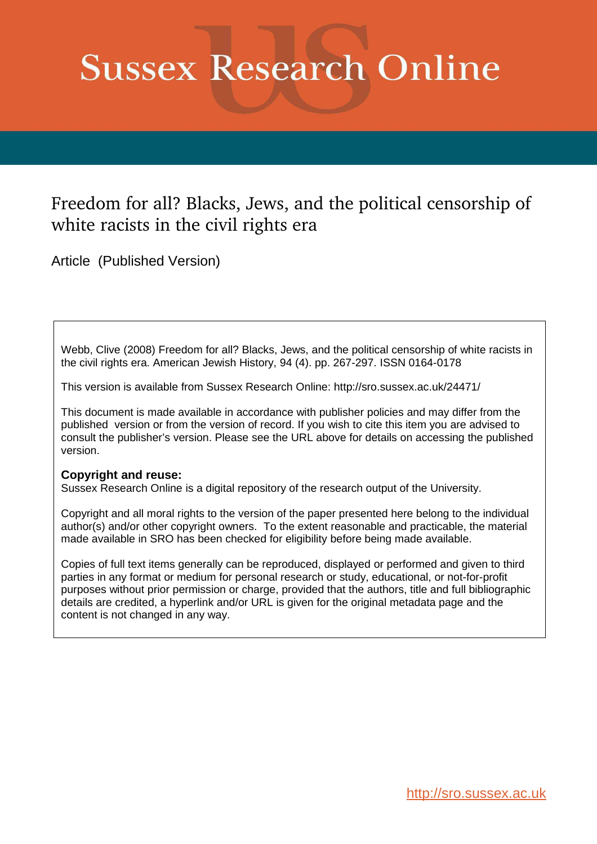# **Sussex Research Online**

## Freedom for all? Blacks, Jews, and the political censorship of white racists in the civil rights era

Article (Published Version)

Webb, Clive (2008) Freedom for all? Blacks, Jews, and the political censorship of white racists in the civil rights era. American Jewish History, 94 (4). pp. 267-297. ISSN 0164-0178

This version is available from Sussex Research Online: http://sro.sussex.ac.uk/24471/

This document is made available in accordance with publisher policies and may differ from the published version or from the version of record. If you wish to cite this item you are advised to consult the publisher's version. Please see the URL above for details on accessing the published version.

#### **Copyright and reuse:**

Sussex Research Online is a digital repository of the research output of the University.

Copyright and all moral rights to the version of the paper presented here belong to the individual author(s) and/or other copyright owners. To the extent reasonable and practicable, the material made available in SRO has been checked for eligibility before being made available.

Copies of full text items generally can be reproduced, displayed or performed and given to third parties in any format or medium for personal research or study, educational, or not-for-profit purposes without prior permission or charge, provided that the authors, title and full bibliographic details are credited, a hyperlink and/or URL is given for the original metadata page and the content is not changed in any way.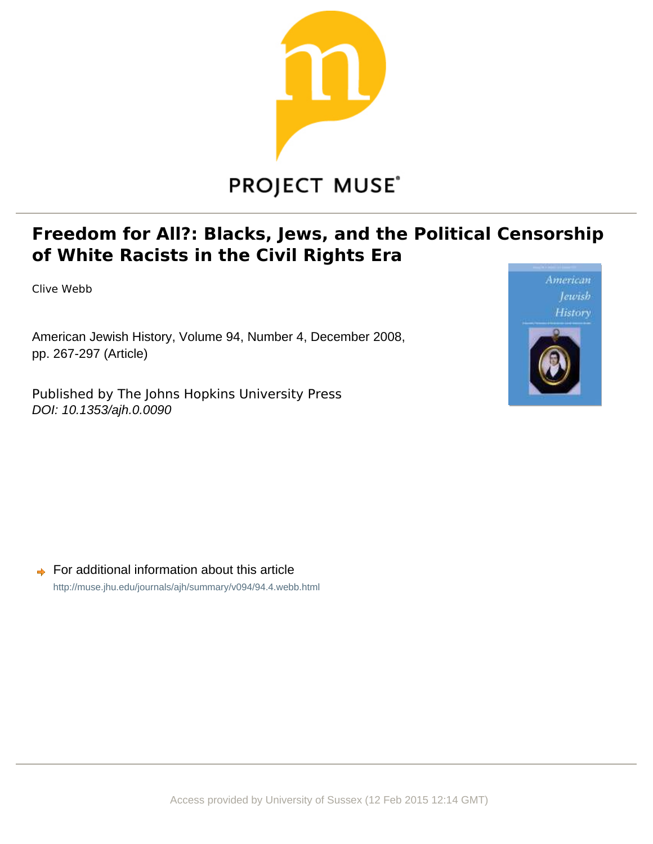

# **PROJECT MUSE®**

## **Freedom for All?: Blacks, Jews, and the Political Censorship** of White Racists in the Civil Rights Era

Clive Webb

American Jewish History, Volume 94, Number 4, December 2008, pp. 267-297 (Article)

Published by The Johns Hopkins University Press DOI: 10.1353/ajh.0.0090



**►** For additional information about this article <http://muse.jhu.edu/journals/ajh/summary/v094/94.4.webb.html>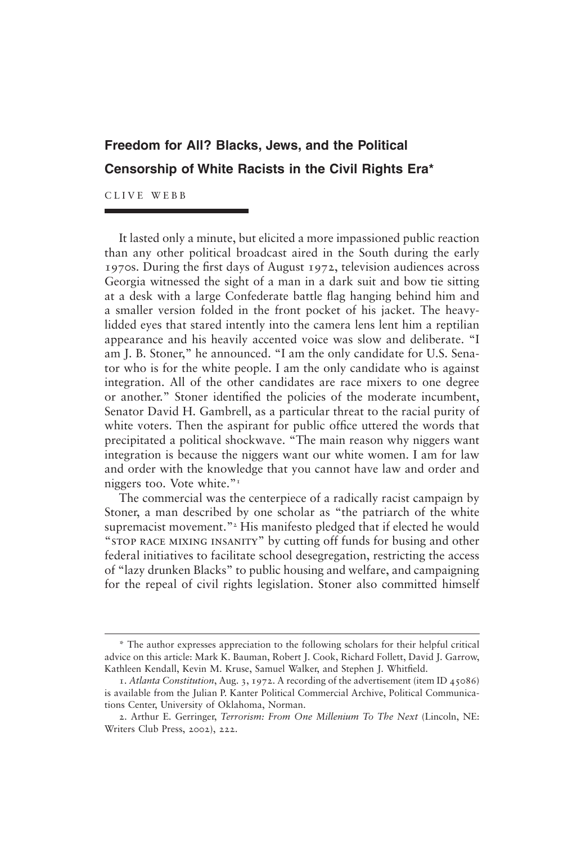### **Freedom for All? Blacks, Jews, and the Political Censorship of White Racists in the Civil Rights Era\***

CLIVE WEBB

It lasted only a minute, but elicited a more impassioned public reaction than any other political broadcast aired in the South during the early 1970s. During the first days of August 1972, television audiences across Georgia witnessed the sight of a man in a dark suit and bow tie sitting at a desk with a large Confederate battle flag hanging behind him and a smaller version folded in the front pocket of his jacket. The heavylidded eyes that stared intently into the camera lens lent him a reptilian appearance and his heavily accented voice was slow and deliberate. "I am J. B. Stoner," he announced. "I am the only candidate for U.S. Senator who is for the white people. I am the only candidate who is against integration. All of the other candidates are race mixers to one degree or another." Stoner identified the policies of the moderate incumbent, Senator David H. Gambrell, as a particular threat to the racial purity of white voters. Then the aspirant for public office uttered the words that precipitated a political shockwave. "The main reason why niggers want integration is because the niggers want our white women. I am for law and order with the knowledge that you cannot have law and order and niggers too. Vote white."<sup>1</sup>

The commercial was the centerpiece of a radically racist campaign by Stoner, a man described by one scholar as "the patriarch of the white supremacist movement."<sup>2</sup> His manifesto pledged that if elected he would "stop race mixing insanity" by cutting off funds for busing and other federal initiatives to facilitate school desegregation, restricting the access of "lazy drunken Blacks" to public housing and welfare, and campaigning for the repeal of civil rights legislation. Stoner also committed himself

<sup>\*</sup> The author expresses appreciation to the following scholars for their helpful critical advice on this article: Mark K. Bauman, Robert J. Cook, Richard Follett, David J. Garrow, Kathleen Kendall, Kevin M. Kruse, Samuel Walker, and Stephen J. Whitfield.

<sup>1</sup>. *Atlanta Constitution*, Aug. 3, 1972. A recording of the advertisement (item ID 45086) is available from the Julian P. Kanter Political Commercial Archive, Political Communications Center, University of Oklahoma, Norman.

<sup>2</sup>. Arthur E. Gerringer, *Terrorism: From One Millenium To The Next* (Lincoln, NE: Writers Club Press, 2002), 222.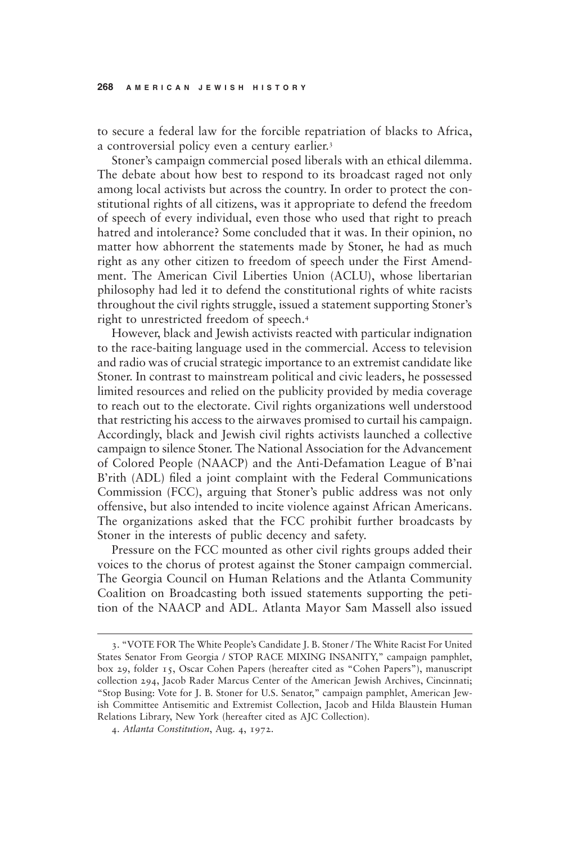to secure a federal law for the forcible repatriation of blacks to Africa, a controversial policy even a century earlier.<sup>3</sup>

Stoner's campaign commercial posed liberals with an ethical dilemma. The debate about how best to respond to its broadcast raged not only among local activists but across the country. In order to protect the constitutional rights of all citizens, was it appropriate to defend the freedom of speech of every individual, even those who used that right to preach hatred and intolerance? Some concluded that it was. In their opinion, no matter how abhorrent the statements made by Stoner, he had as much right as any other citizen to freedom of speech under the First Amendment. The American Civil Liberties Union (ACLU), whose libertarian philosophy had led it to defend the constitutional rights of white racists throughout the civil rights struggle, issued a statement supporting Stoner's right to unrestricted freedom of speech.<sup>4</sup>

However, black and Jewish activists reacted with particular indignation to the race-baiting language used in the commercial. Access to television and radio was of crucial strategic importance to an extremist candidate like Stoner. In contrast to mainstream political and civic leaders, he possessed limited resources and relied on the publicity provided by media coverage to reach out to the electorate. Civil rights organizations well understood that restricting his access to the airwaves promised to curtail his campaign. Accordingly, black and Jewish civil rights activists launched a collective campaign to silence Stoner. The National Association for the Advancement of Colored People (NAACP) and the Anti-Defamation League of B'nai B'rith (ADL) filed a joint complaint with the Federal Communications Commission (FCC), arguing that Stoner's public address was not only offensive, but also intended to incite violence against African Americans. The organizations asked that the FCC prohibit further broadcasts by Stoner in the interests of public decency and safety.

Pressure on the FCC mounted as other civil rights groups added their voices to the chorus of protest against the Stoner campaign commercial. The Georgia Council on Human Relations and the Atlanta Community Coalition on Broadcasting both issued statements supporting the petition of the NAACP and ADL. Atlanta Mayor Sam Massell also issued

<sup>3</sup>. "VOTE FOR The White People's Candidate J. B. Stoner / The White Racist For United States Senator From Georgia / STOP RACE MIXING INSANITY," campaign pamphlet, box 29, folder 15, Oscar Cohen Papers (hereafter cited as "Cohen Papers"), manuscript collection 294, Jacob Rader Marcus Center of the American Jewish Archives, Cincinnati; "Stop Busing: Vote for J. B. Stoner for U.S. Senator," campaign pamphlet, American Jewish Committee Antisemitic and Extremist Collection, Jacob and Hilda Blaustein Human Relations Library, New York (hereafter cited as AJC Collection).

<sup>4</sup>. *Atlanta Constitution*, Aug. 4, 1972.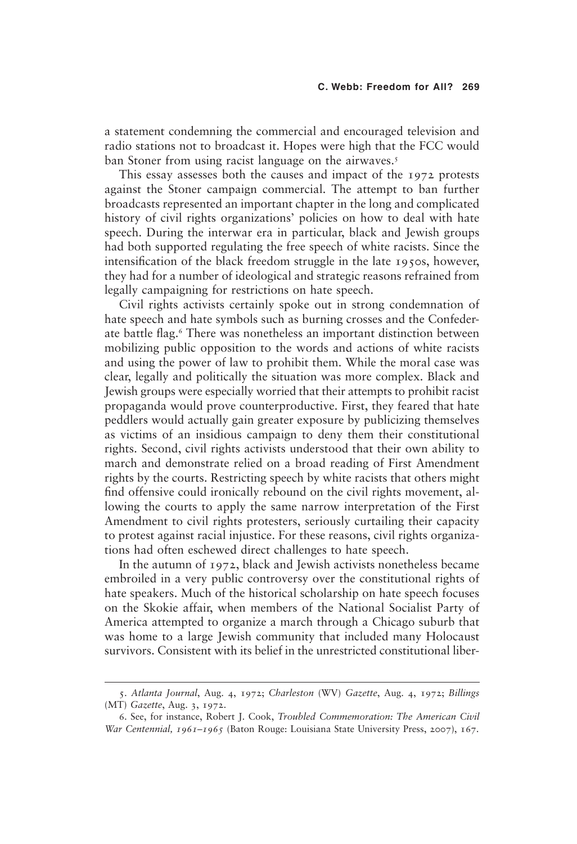a statement condemning the commercial and encouraged television and radio stations not to broadcast it. Hopes were high that the FCC would ban Stoner from using racist language on the airwaves.<sup>5</sup>

This essay assesses both the causes and impact of the 1972 protests against the Stoner campaign commercial. The attempt to ban further broadcasts represented an important chapter in the long and complicated history of civil rights organizations' policies on how to deal with hate speech. During the interwar era in particular, black and Jewish groups had both supported regulating the free speech of white racists. Since the intensification of the black freedom struggle in the late 1950s, however, they had for a number of ideological and strategic reasons refrained from legally campaigning for restrictions on hate speech.

Civil rights activists certainly spoke out in strong condemnation of hate speech and hate symbols such as burning crosses and the Confederate battle flag.<sup>6</sup> There was nonetheless an important distinction between mobilizing public opposition to the words and actions of white racists and using the power of law to prohibit them. While the moral case was clear, legally and politically the situation was more complex. Black and Jewish groups were especially worried that their attempts to prohibit racist propaganda would prove counterproductive. First, they feared that hate peddlers would actually gain greater exposure by publicizing themselves as victims of an insidious campaign to deny them their constitutional rights. Second, civil rights activists understood that their own ability to march and demonstrate relied on a broad reading of First Amendment rights by the courts. Restricting speech by white racists that others might find offensive could ironically rebound on the civil rights movement, allowing the courts to apply the same narrow interpretation of the First Amendment to civil rights protesters, seriously curtailing their capacity to protest against racial injustice. For these reasons, civil rights organizations had often eschewed direct challenges to hate speech.

In the autumn of 1972, black and Jewish activists nonetheless became embroiled in a very public controversy over the constitutional rights of hate speakers. Much of the historical scholarship on hate speech focuses on the Skokie affair, when members of the National Socialist Party of America attempted to organize a march through a Chicago suburb that was home to a large Jewish community that included many Holocaust survivors. Consistent with its belief in the unrestricted constitutional liber-

<sup>5</sup>. *Atlanta Journal*, Aug. 4, 1972; *Charleston* (WV) *Gazette*, Aug. 4, 1972; *Billings* (MT) *Gazette*, Aug. 3, 1972.

<sup>6</sup>. See, for instance, Robert J. Cook, *Troubled Commemoration: The American Civil War Centennial, 1961–1965* (Baton Rouge: Louisiana State University Press, 2007), 167.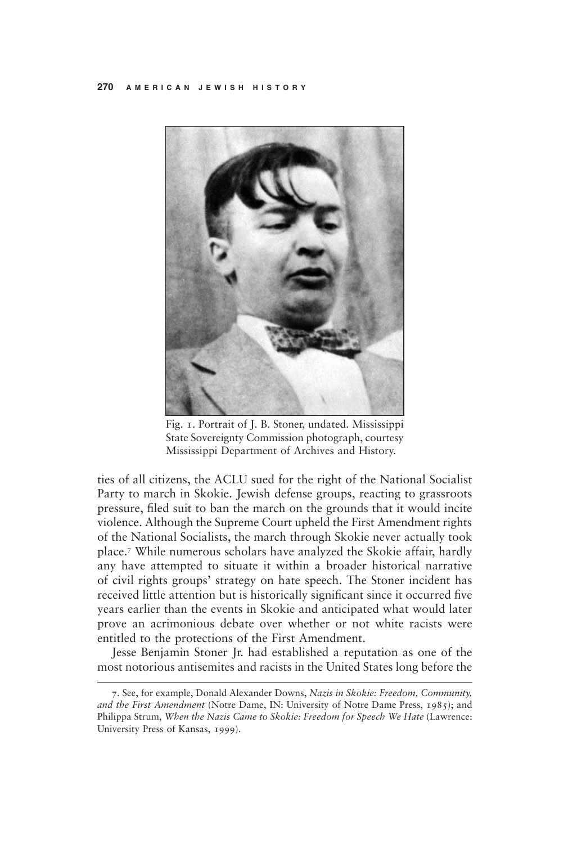

Fig. 1. Portrait of J. B. Stoner, undated. Mississippi State Sovereignty Commission photograph, courtesy Mississippi Department of Archives and History.

ties of all citizens, the ACLU sued for the right of the National Socialist Party to march in Skokie. Jewish defense groups, reacting to grassroots pressure, filed suit to ban the march on the grounds that it would incite violence. Although the Supreme Court upheld the First Amendment rights of the National Socialists, the march through Skokie never actually took place.<sup>7</sup> While numerous scholars have analyzed the Skokie affair, hardly any have attempted to situate it within a broader historical narrative of civil rights groups' strategy on hate speech. The Stoner incident has received little attention but is historically significant since it occurred five years earlier than the events in Skokie and anticipated what would later prove an acrimonious debate over whether or not white racists were entitled to the protections of the First Amendment.

Jesse Benjamin Stoner Jr. had established a reputation as one of the most notorious antisemites and racists in the United States long before the

<sup>7</sup>. See, for example, Donald Alexander Downs, *Nazis in Skokie: Freedom, Community, and the First Amendment* (Notre Dame, IN: University of Notre Dame Press, 1985); and Philippa Strum, *When the Nazis Came to Skokie: Freedom for Speech We Hate* (Lawrence: University Press of Kansas, 1999).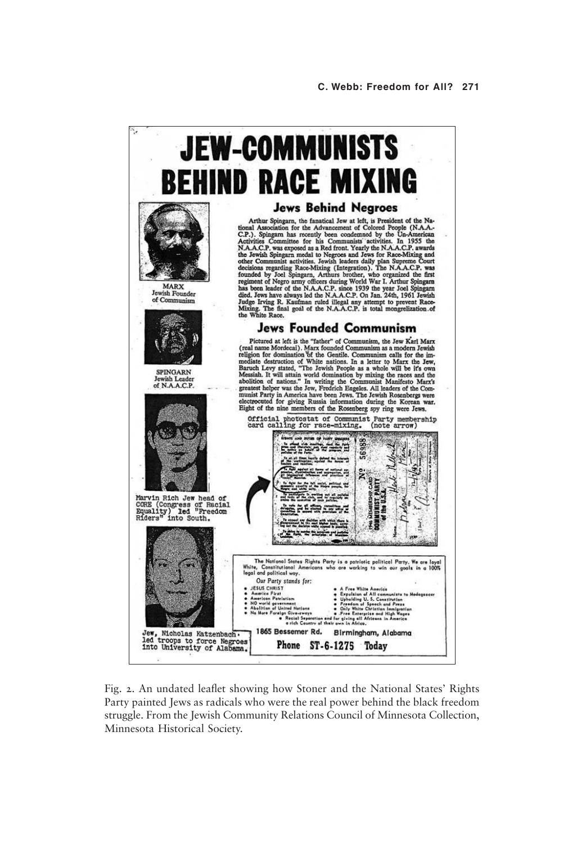

Fig. 2. An undated leaflet showing how Stoner and the National States' Rights Party painted Jews as radicals who were the real power behind the black freedom struggle. From the Jewish Community Relations Council of Minnesota Collection, Minnesota Historical Society.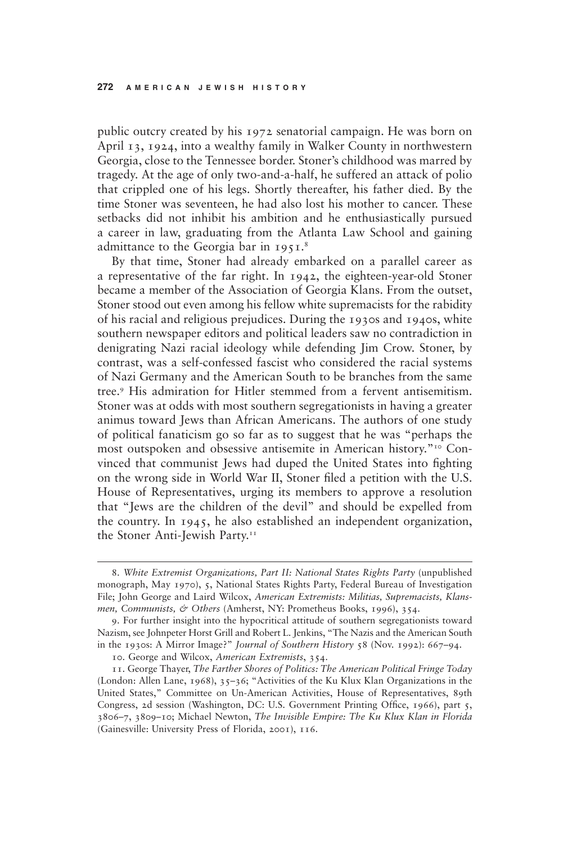public outcry created by his 1972 senatorial campaign. He was born on April 13, 1924, into a wealthy family in Walker County in northwestern Georgia, close to the Tennessee border. Stoner's childhood was marred by tragedy. At the age of only two-and-a-half, he suffered an attack of polio that crippled one of his legs. Shortly thereafter, his father died. By the time Stoner was seventeen, he had also lost his mother to cancer. These setbacks did not inhibit his ambition and he enthusiastically pursued a career in law, graduating from the Atlanta Law School and gaining admittance to the Georgia bar in 1951.<sup>8</sup>

By that time, Stoner had already embarked on a parallel career as a representative of the far right. In 1942, the eighteen-year-old Stoner became a member of the Association of Georgia Klans. From the outset, Stoner stood out even among his fellow white supremacists for the rabidity of his racial and religious prejudices. During the 1930s and 1940s, white southern newspaper editors and political leaders saw no contradiction in denigrating Nazi racial ideology while defending Jim Crow. Stoner, by contrast, was a self-confessed fascist who considered the racial systems of Nazi Germany and the American South to be branches from the same tree.<sup>9</sup> His admiration for Hitler stemmed from a fervent antisemitism. Stoner was at odds with most southern segregationists in having a greater animus toward Jews than African Americans. The authors of one study of political fanaticism go so far as to suggest that he was "perhaps the most outspoken and obsessive antisemite in American history."10 Convinced that communist Jews had duped the United States into fighting on the wrong side in World War II, Stoner filed a petition with the U.S. House of Representatives, urging its members to approve a resolution that "Jews are the children of the devil" and should be expelled from the country. In 1945, he also established an independent organization, the Stoner Anti-Jewish Party.<sup>11</sup>

<sup>8</sup>. *White Extremist Organizations, Part II: National States Rights Party* (unpublished monograph, May 1970), 5, National States Rights Party, Federal Bureau of Investigation File; John George and Laird Wilcox, *American Extremists: Militias, Supremacists, Klansmen, Communists, & Others* (Amherst, NY: Prometheus Books, 1996), 354.

<sup>9</sup>. For further insight into the hypocritical attitude of southern segregationists toward Nazism, see Johnpeter Horst Grill and Robert L. Jenkins, "The Nazis and the American South in the 1930s: A Mirror Image?" *Journal of Southern History* 58 (Nov. 1992): 667–94.

<sup>10</sup>. George and Wilcox, *American Extremists*, 354.

<sup>11</sup>. George Thayer, *The Farther Shores of Politics: The American Political Fringe Today* (London: Allen Lane, 1968),  $35-36$ ; "Activities of the Ku Klux Klan Organizations in the United States," Committee on Un-American Activities, House of Representatives, 89th Congress, 2d session (Washington, DC: U.S. Government Printing Office, 1966), part 5, 3806–7, 3809–10; Michael Newton, *The Invisible Empire: The Ku Klux Klan in Florida* (Gainesville: University Press of Florida, 2001), 116.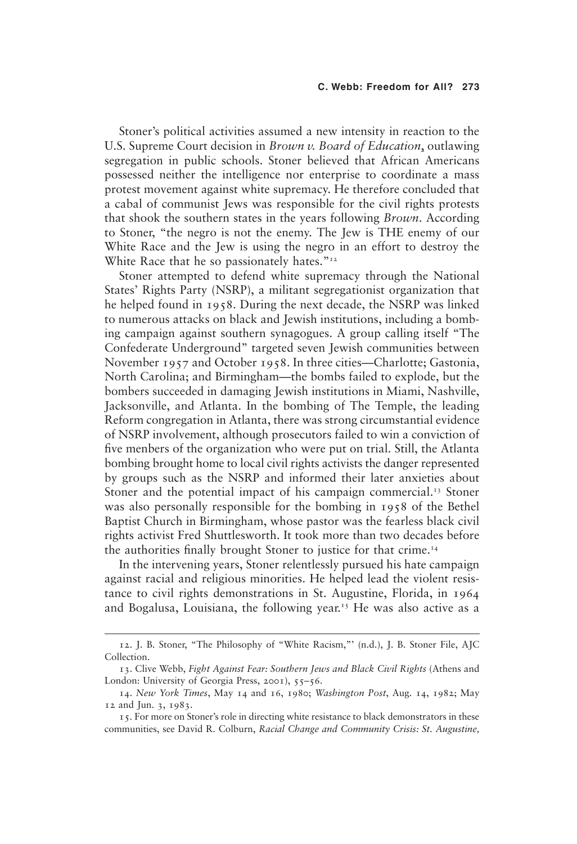Stoner's political activities assumed a new intensity in reaction to the U.S. Supreme Court decision in *Brown v. Board of Education*, outlawing segregation in public schools. Stoner believed that African Americans possessed neither the intelligence nor enterprise to coordinate a mass protest movement against white supremacy. He therefore concluded that a cabal of communist Jews was responsible for the civil rights protests that shook the southern states in the years following *Brown*. According to Stoner, "the negro is not the enemy. The Jew is THE enemy of our White Race and the Jew is using the negro in an effort to destroy the White Race that he so passionately hates."<sup>12</sup>

Stoner attempted to defend white supremacy through the National States' Rights Party (NSRP), a militant segregationist organization that he helped found in 1958. During the next decade, the NSRP was linked to numerous attacks on black and Jewish institutions, including a bombing campaign against southern synagogues. A group calling itself "The Confederate Underground" targeted seven Jewish communities between November 1957 and October 1958. In three cities—Charlotte; Gastonia, North Carolina; and Birmingham—the bombs failed to explode, but the bombers succeeded in damaging Jewish institutions in Miami, Nashville, Jacksonville, and Atlanta. In the bombing of The Temple, the leading Reform congregation in Atlanta, there was strong circumstantial evidence of NSRP involvement, although prosecutors failed to win a conviction of five menbers of the organization who were put on trial. Still, the Atlanta bombing brought home to local civil rights activists the danger represented by groups such as the NSRP and informed their later anxieties about Stoner and the potential impact of his campaign commercial.<sup>13</sup> Stoner was also personally responsible for the bombing in 1958 of the Bethel Baptist Church in Birmingham, whose pastor was the fearless black civil rights activist Fred Shuttlesworth. It took more than two decades before the authorities finally brought Stoner to justice for that crime.<sup>14</sup>

In the intervening years, Stoner relentlessly pursued his hate campaign against racial and religious minorities. He helped lead the violent resistance to civil rights demonstrations in St. Augustine, Florida, in 1964 and Bogalusa, Louisiana, the following year.<sup>15</sup> He was also active as a

<sup>12</sup>. J. B. Stoner, "The Philosophy of "White Racism,"' (n.d.), J. B. Stoner File, AJC Collection.

<sup>13</sup>. Clive Webb, *Fight Against Fear: Southern Jews and Black Civil Rights* (Athens and London: University of Georgia Press, 2001), 55-56.

<sup>14</sup>. *New York Times*, May 14 and 16, 1980; *Washington Post*, Aug. 14, 1982; May 12 and Jun. 3, 1983.

<sup>15</sup>. For more on Stoner's role in directing white resistance to black demonstrators in these communities, see David R. Colburn, *Racial Change and Community Crisis: St. Augustine,*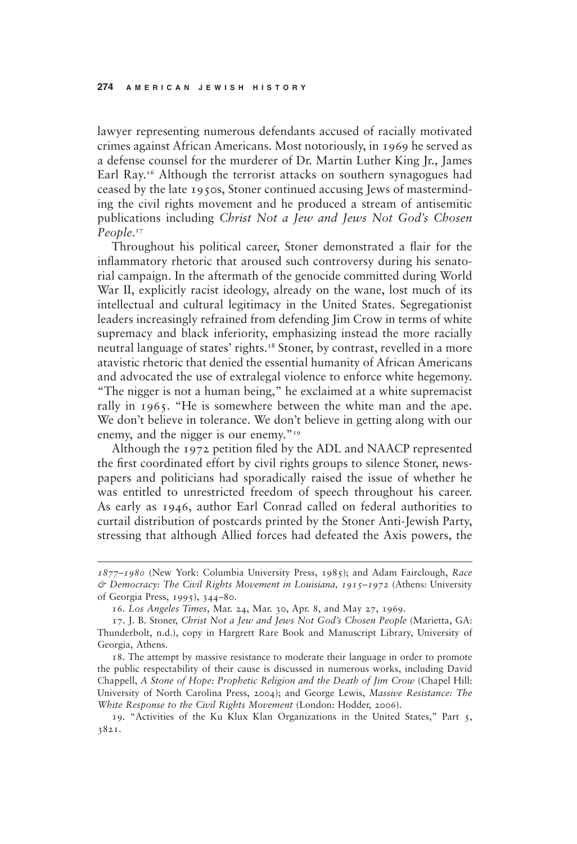lawyer representing numerous defendants accused of racially motivated crimes against African Americans. Most notoriously, in 1969 he served as a defense counsel for the murderer of Dr. Martin Luther King Jr., James Earl Ray.<sup>16</sup> Although the terrorist attacks on southern synagogues had ceased by the late 1950s, Stoner continued accusing Jews of masterminding the civil rights movement and he produced a stream of antisemitic publications including *Christ Not a Jew and Jews Not God's Chosen People*. 17

Throughout his political career, Stoner demonstrated a flair for the inflammatory rhetoric that aroused such controversy during his senatorial campaign. In the aftermath of the genocide committed during World War II, explicitly racist ideology, already on the wane, lost much of its intellectual and cultural legitimacy in the United States. Segregationist leaders increasingly refrained from defending Jim Crow in terms of white supremacy and black inferiority, emphasizing instead the more racially neutral language of states' rights.<sup>18</sup> Stoner, by contrast, revelled in a more atavistic rhetoric that denied the essential humanity of African Americans and advocated the use of extralegal violence to enforce white hegemony. "The nigger is not a human being," he exclaimed at a white supremacist rally in 1965. "He is somewhere between the white man and the ape. We don't believe in tolerance. We don't believe in getting along with our enemy, and the nigger is our enemy."<sup>19</sup>

Although the 1972 petition filed by the ADL and NAACP represented the first coordinated effort by civil rights groups to silence Stoner, newspapers and politicians had sporadically raised the issue of whether he was entitled to unrestricted freedom of speech throughout his career. As early as 1946, author Earl Conrad called on federal authorities to curtail distribution of postcards printed by the Stoner Anti-Jewish Party, stressing that although Allied forces had defeated the Axis powers, the

*<sup>1877</sup>–1980* (New York: Columbia University Press, 1985); and Adam Fairclough, *Race & Democracy: The Civil Rights Movement in Louisiana, 1915–1972* (Athens: University of Georgia Press, 1995), 344–80.

<sup>16</sup>. *Los Angeles Times*, Mar. 24, Mar. 30, Apr. 8, and May 27, 1969.

<sup>17</sup>. J. B. Stoner, *Christ Not a Jew and Jews Not God's Chosen People* (Marietta, GA: Thunderbolt, n.d.), copy in Hargrett Rare Book and Manuscript Library, University of Georgia, Athens.

<sup>18</sup>. The attempt by massive resistance to moderate their language in order to promote the public respectability of their cause is discussed in numerous works, including David Chappell, *A Stone of Hope: Prophetic Religion and the Death of Jim Crow* (Chapel Hill: University of North Carolina Press, 2004); and George Lewis, *Massive Resistance: The White Response to the Civil Rights Movement* (London: Hodder, 2006).

<sup>19</sup>. "Activities of the Ku Klux Klan Organizations in the United States," Part 5, 3821.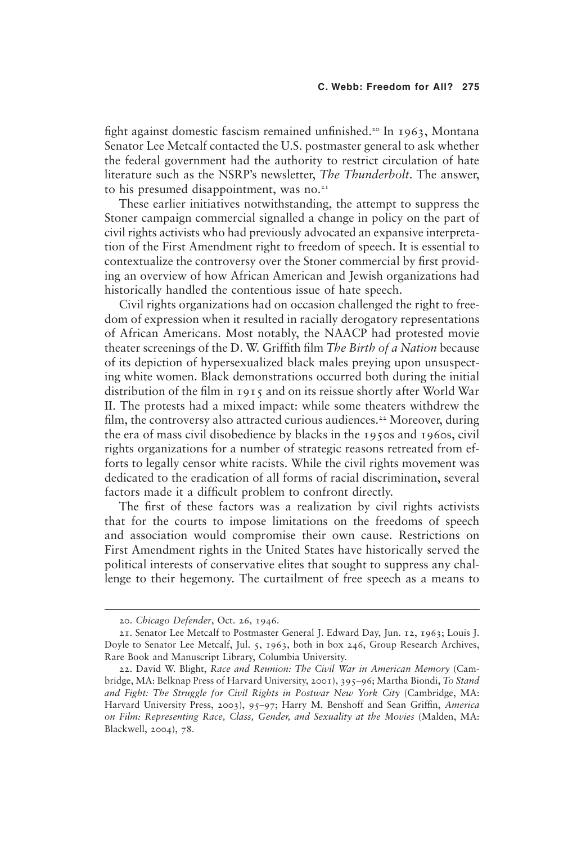fight against domestic fascism remained unfinished.<sup>20</sup> In 1963, Montana Senator Lee Metcalf contacted the U.S. postmaster general to ask whether the federal government had the authority to restrict circulation of hate literature such as the NSRP's newsletter, *The Thunderbolt*. The answer, to his presumed disappointment, was no. $2I$ 

These earlier initiatives notwithstanding, the attempt to suppress the Stoner campaign commercial signalled a change in policy on the part of civil rights activists who had previously advocated an expansive interpretation of the First Amendment right to freedom of speech. It is essential to contextualize the controversy over the Stoner commercial by first providing an overview of how African American and Jewish organizations had historically handled the contentious issue of hate speech.

Civil rights organizations had on occasion challenged the right to freedom of expression when it resulted in racially derogatory representations of African Americans. Most notably, the NAACP had protested movie theater screenings of the D. W. Griffith film *The Birth of a Nation* because of its depiction of hypersexualized black males preying upon unsuspecting white women. Black demonstrations occurred both during the initial distribution of the film in 1915 and on its reissue shortly after World War II. The protests had a mixed impact: while some theaters withdrew the film, the controversy also attracted curious audiences.<sup>22</sup> Moreover, during the era of mass civil disobedience by blacks in the 1950s and 1960s, civil rights organizations for a number of strategic reasons retreated from efforts to legally censor white racists. While the civil rights movement was dedicated to the eradication of all forms of racial discrimination, several factors made it a difficult problem to confront directly.

The first of these factors was a realization by civil rights activists that for the courts to impose limitations on the freedoms of speech and association would compromise their own cause. Restrictions on First Amendment rights in the United States have historically served the political interests of conservative elites that sought to suppress any challenge to their hegemony. The curtailment of free speech as a means to

<sup>20</sup>. *Chicago Defender*, Oct. 26, 1946.

<sup>21</sup>. Senator Lee Metcalf to Postmaster General J. Edward Day, Jun. 12, 1963; Louis J. Doyle to Senator Lee Metcalf, Jul. 5, 1963, both in box 246, Group Research Archives, Rare Book and Manuscript Library, Columbia University.

<sup>22</sup>. David W. Blight, *Race and Reunion: The Civil War in American Memory* (Cambridge, MA: Belknap Press of Harvard University, 2001), 395–96; Martha Biondi, *To Stand and Fight: The Struggle for Civil Rights in Postwar New York City* (Cambridge, MA: Harvard University Press, 2003), 95–97; Harry M. Benshoff and Sean Griffin, *America on Film: Representing Race, Class, Gender, and Sexuality at the Movies* (Malden, MA: Blackwell, 2004), 78.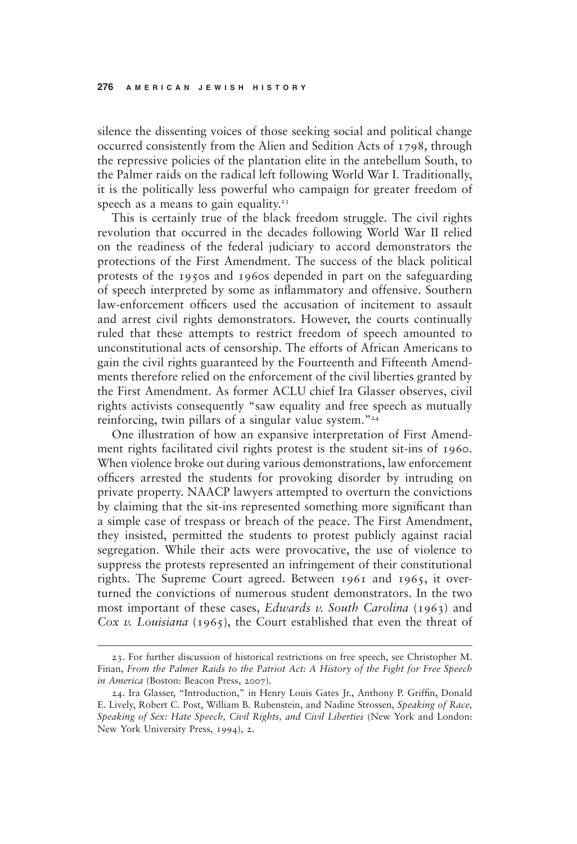silence the dissenting voices of those seeking social and political change occurred consistently from the Alien and Sedition Acts of 1798, through the repressive policies of the plantation elite in the antebellum South, to the Palmer raids on the radical left following World War I. Traditionally, it is the politically less powerful who campaign for greater freedom of speech as a means to gain equality.<sup>23</sup>

This is certainly true of the black freedom struggle. The civil rights revolution that occurred in the decades following World War II relied on the readiness of the federal judiciary to accord demonstrators the protections of the First Amendment. The success of the black political protests of the 1950s and 1960s depended in part on the safeguarding of speech interpreted by some as inflammatory and offensive. Southern law-enforcement officers used the accusation of incitement to assault and arrest civil rights demonstrators. However, the courts continually ruled that these attempts to restrict freedom of speech amounted to unconstitutional acts of censorship. The efforts of African Americans to gain the civil rights guaranteed by the Fourteenth and Fifteenth Amendments therefore relied on the enforcement of the civil liberties granted by the First Amendment. As former ACLU chief Ira Glasser observes, civil rights activists consequently "saw equality and free speech as mutually reinforcing, twin pillars of a singular value system."<sup>24</sup>

One illustration of how an expansive interpretation of First Amendment rights facilitated civil rights protest is the student sit-ins of 1960. When violence broke out during various demonstrations, law enforcement officers arrested the students for provoking disorder by intruding on private property. NAACP lawyers attempted to overturn the convictions by claiming that the sit-ins represented something more significant than a simple case of trespass or breach of the peace. The First Amendment, they insisted, permitted the students to protest publicly against racial segregation. While their acts were provocative, the use of violence to suppress the protests represented an infringement of their constitutional rights. The Supreme Court agreed. Between 1961 and 1965, it overturned the convictions of numerous student demonstrators. In the two most important of these cases, *Edwards v. South Carolina* (1963) and *Cox v. Louisiana* (1965), the Court established that even the threat of

<sup>23</sup>. For further discussion of historical restrictions on free speech, see Christopher M. Finan, *From the Palmer Raids to the Patriot Act: A History of the Fight for Free Speech in America* (Boston: Beacon Press, 2007).

<sup>24</sup>. Ira Glasser, "Introduction," in Henry Louis Gates Jr., Anthony P. Griffin, Donald E. Lively, Robert C. Post, William B. Rubenstein, and Nadine Strossen, *Speaking of Race, Speaking of Sex: Hate Speech, Civil Rights, and Civil Liberties* (New York and London: New York University Press, 1994), 2.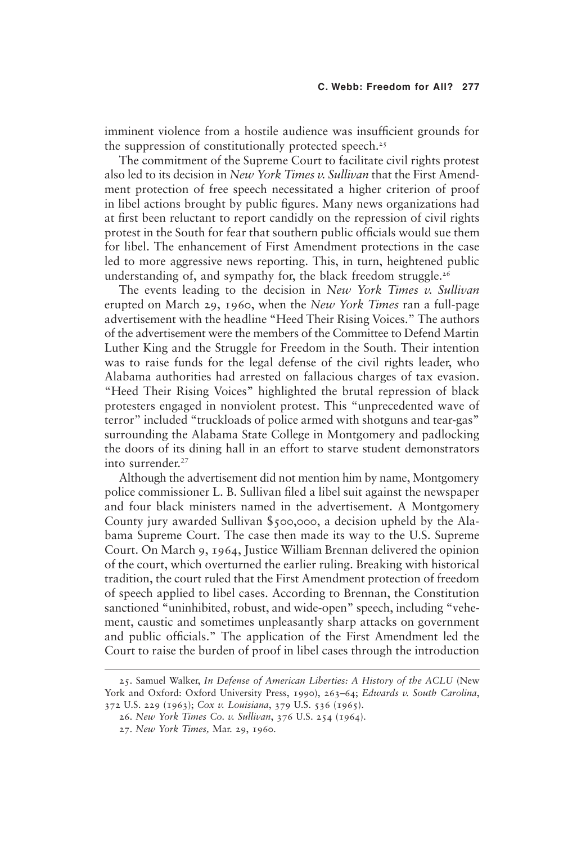imminent violence from a hostile audience was insufficient grounds for the suppression of constitutionally protected speech.<sup>25</sup>

The commitment of the Supreme Court to facilitate civil rights protest also led to its decision in *New York Times v. Sullivan* that the First Amendment protection of free speech necessitated a higher criterion of proof in libel actions brought by public figures. Many news organizations had at first been reluctant to report candidly on the repression of civil rights protest in the South for fear that southern public officials would sue them for libel. The enhancement of First Amendment protections in the case led to more aggressive news reporting. This, in turn, heightened public understanding of, and sympathy for, the black freedom struggle.<sup>26</sup>

The events leading to the decision in *New York Times v. Sullivan*  erupted on March 29, 1960, when the *New York Times* ran a full-page advertisement with the headline "Heed Their Rising Voices." The authors of the advertisement were the members of the Committee to Defend Martin Luther King and the Struggle for Freedom in the South. Their intention was to raise funds for the legal defense of the civil rights leader, who Alabama authorities had arrested on fallacious charges of tax evasion. "Heed Their Rising Voices" highlighted the brutal repression of black protesters engaged in nonviolent protest. This "unprecedented wave of terror" included "truckloads of police armed with shotguns and tear-gas" surrounding the Alabama State College in Montgomery and padlocking the doors of its dining hall in an effort to starve student demonstrators into surrender.<sup>27</sup>

Although the advertisement did not mention him by name, Montgomery police commissioner L. B. Sullivan filed a libel suit against the newspaper and four black ministers named in the advertisement. A Montgomery County jury awarded Sullivan \$500,000, a decision upheld by the Alabama Supreme Court. The case then made its way to the U.S. Supreme Court. On March 9, 1964, Justice William Brennan delivered the opinion of the court, which overturned the earlier ruling. Breaking with historical tradition, the court ruled that the First Amendment protection of freedom of speech applied to libel cases. According to Brennan, the Constitution sanctioned "uninhibited, robust, and wide-open" speech, including "vehement, caustic and sometimes unpleasantly sharp attacks on government and public officials." The application of the First Amendment led the Court to raise the burden of proof in libel cases through the introduction

<sup>25</sup>. Samuel Walker, *In Defense of American Liberties: A History of the ACLU* (New York and Oxford: Oxford University Press, 1990), 263–64; *Edwards v. South Carolina*, 372 U.S. 229 (1963); *Cox v. Louisiana*, 379 U.S. 536 (1965).

<sup>26</sup>. *New York Times Co. v. Sullivan*, 376 U.S. 254 (1964).

<sup>27</sup>. *New York Times,* Mar. 29, 1960.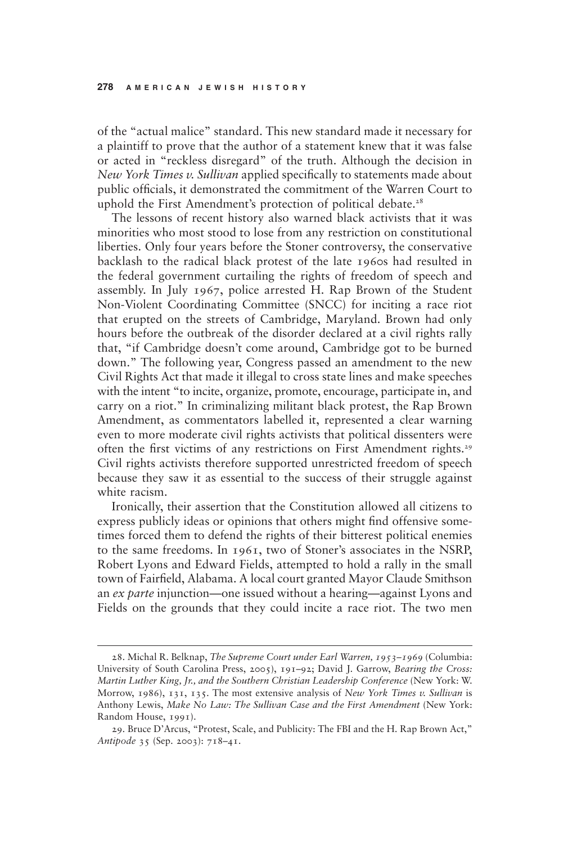of the "actual malice" standard. This new standard made it necessary for a plaintiff to prove that the author of a statement knew that it was false or acted in "reckless disregard" of the truth. Although the decision in *New York Times v. Sullivan* applied specifically to statements made about public officials, it demonstrated the commitment of the Warren Court to uphold the First Amendment's protection of political debate.<sup>28</sup>

The lessons of recent history also warned black activists that it was minorities who most stood to lose from any restriction on constitutional liberties. Only four years before the Stoner controversy, the conservative backlash to the radical black protest of the late 1960s had resulted in the federal government curtailing the rights of freedom of speech and assembly. In July 1967, police arrested H. Rap Brown of the Student Non-Violent Coordinating Committee (SNCC) for inciting a race riot that erupted on the streets of Cambridge, Maryland. Brown had only hours before the outbreak of the disorder declared at a civil rights rally that, "if Cambridge doesn't come around, Cambridge got to be burned down." The following year, Congress passed an amendment to the new Civil Rights Act that made it illegal to cross state lines and make speeches with the intent "to incite, organize, promote, encourage, participate in, and carry on a riot." In criminalizing militant black protest, the Rap Brown Amendment, as commentators labelled it, represented a clear warning even to more moderate civil rights activists that political dissenters were often the first victims of any restrictions on First Amendment rights.<sup>29</sup> Civil rights activists therefore supported unrestricted freedom of speech because they saw it as essential to the success of their struggle against white racism.

Ironically, their assertion that the Constitution allowed all citizens to express publicly ideas or opinions that others might find offensive sometimes forced them to defend the rights of their bitterest political enemies to the same freedoms. In 1961, two of Stoner's associates in the NSRP, Robert Lyons and Edward Fields, attempted to hold a rally in the small town of Fairfield, Alabama. A local court granted Mayor Claude Smithson an *ex parte* injunction—one issued without a hearing—against Lyons and Fields on the grounds that they could incite a race riot. The two men

<sup>28</sup>. Michal R. Belknap, *The Supreme Court under Earl Warren, 1953–1969* (Columbia: University of South Carolina Press, 2005), 191–92; David J. Garrow, *Bearing the Cross: Martin Luther King, Jr., and the Southern Christian Leadership Conference* (New York: W. Morrow, 1986), 131, 135. The most extensive analysis of *New York Times v. Sullivan* is Anthony Lewis, *Make No Law: The Sullivan Case and the First Amendment* (New York: Random House, 1991).

<sup>29</sup>. Bruce D'Arcus, "Protest, Scale, and Publicity: The FBI and the H. Rap Brown Act," *Antipode* 35 (Sep. 2003): 718–41.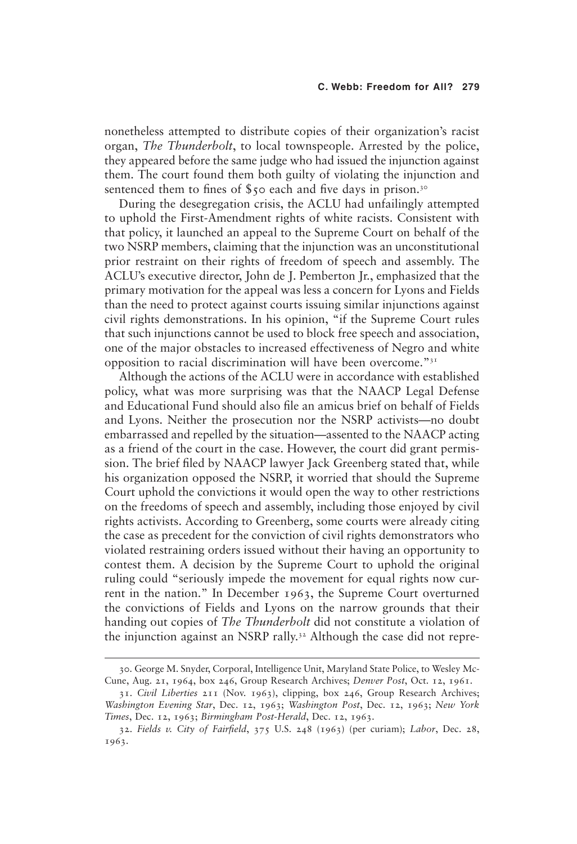nonetheless attempted to distribute copies of their organization's racist organ, *The Thunderbolt*, to local townspeople. Arrested by the police, they appeared before the same judge who had issued the injunction against them. The court found them both guilty of violating the injunction and sentenced them to fines of  $\S$ 50 each and five days in prison.<sup>30</sup>

During the desegregation crisis, the ACLU had unfailingly attempted to uphold the First-Amendment rights of white racists. Consistent with that policy, it launched an appeal to the Supreme Court on behalf of the two NSRP members, claiming that the injunction was an unconstitutional prior restraint on their rights of freedom of speech and assembly. The ACLU's executive director, John de J. Pemberton Jr., emphasized that the primary motivation for the appeal was less a concern for Lyons and Fields than the need to protect against courts issuing similar injunctions against civil rights demonstrations. In his opinion, "if the Supreme Court rules that such injunctions cannot be used to block free speech and association, one of the major obstacles to increased effectiveness of Negro and white opposition to racial discrimination will have been overcome."<sup>31</sup>

Although the actions of the ACLU were in accordance with established policy, what was more surprising was that the NAACP Legal Defense and Educational Fund should also file an amicus brief on behalf of Fields and Lyons. Neither the prosecution nor the NSRP activists—no doubt embarrassed and repelled by the situation—assented to the NAACP acting as a friend of the court in the case. However, the court did grant permission. The brief filed by NAACP lawyer Jack Greenberg stated that, while his organization opposed the NSRP, it worried that should the Supreme Court uphold the convictions it would open the way to other restrictions on the freedoms of speech and assembly, including those enjoyed by civil rights activists. According to Greenberg, some courts were already citing the case as precedent for the conviction of civil rights demonstrators who violated restraining orders issued without their having an opportunity to contest them. A decision by the Supreme Court to uphold the original ruling could "seriously impede the movement for equal rights now current in the nation." In December 1963, the Supreme Court overturned the convictions of Fields and Lyons on the narrow grounds that their handing out copies of *The Thunderbolt* did not constitute a violation of the injunction against an NSRP rally.32 Although the case did not repre-

<sup>30</sup>. George M. Snyder, Corporal, Intelligence Unit, Maryland State Police, to Wesley Mc-Cune, Aug. 21, 1964, box 246, Group Research Archives; *Denver Post*, Oct. 12, 1961.

<sup>31</sup>. *Civil Liberties* 211 (Nov. 1963), clipping, box 246, Group Research Archives; *Washington Evening Star*, Dec. 12, 1963; *Washington Post*, Dec. 12, 1963; *New York Times*, Dec. 12, 1963; *Birmingham Post-Herald*, Dec. 12, 1963.

<sup>32</sup>. *Fields v. City of Fairfield*, 375 U.S. 248 (1963) (per curiam); *Labor*, Dec. 28, 1963.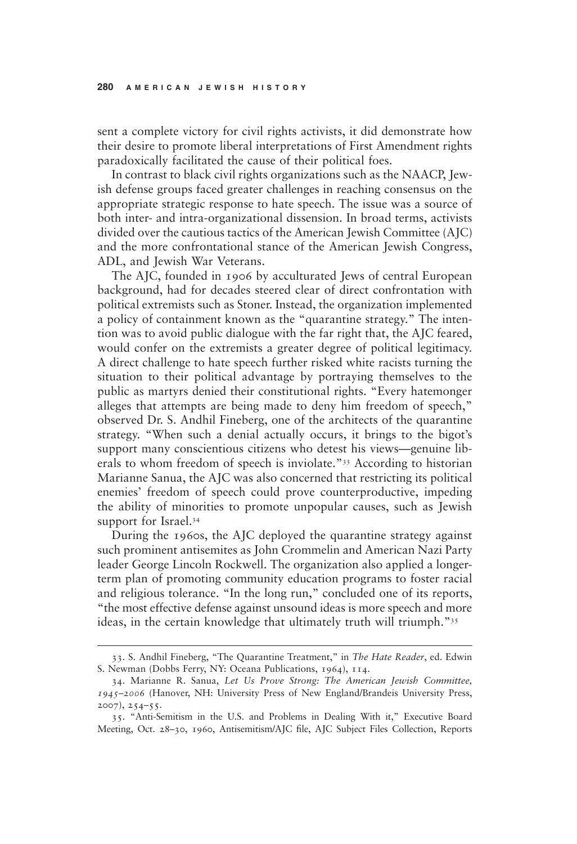sent a complete victory for civil rights activists, it did demonstrate how their desire to promote liberal interpretations of First Amendment rights paradoxically facilitated the cause of their political foes.

In contrast to black civil rights organizations such as the NAACP, Jewish defense groups faced greater challenges in reaching consensus on the appropriate strategic response to hate speech. The issue was a source of both inter- and intra-organizational dissension. In broad terms, activists divided over the cautious tactics of the American Jewish Committee (AJC) and the more confrontational stance of the American Jewish Congress, ADL, and Jewish War Veterans.

The AJC, founded in 1906 by acculturated Jews of central European background, had for decades steered clear of direct confrontation with political extremists such as Stoner. Instead, the organization implemented a policy of containment known as the "quarantine strategy." The intention was to avoid public dialogue with the far right that, the AJC feared, would confer on the extremists a greater degree of political legitimacy. A direct challenge to hate speech further risked white racists turning the situation to their political advantage by portraying themselves to the public as martyrs denied their constitutional rights. "Every hatemonger alleges that attempts are being made to deny him freedom of speech," observed Dr. S. Andhil Fineberg, one of the architects of the quarantine strategy. "When such a denial actually occurs, it brings to the bigot's support many conscientious citizens who detest his views—genuine liberals to whom freedom of speech is inviolate."<sup>33</sup> According to historian Marianne Sanua, the AJC was also concerned that restricting its political enemies' freedom of speech could prove counterproductive, impeding the ability of minorities to promote unpopular causes, such as Jewish support for Israel.<sup>34</sup>

During the 1960s, the AJC deployed the quarantine strategy against such prominent antisemites as John Crommelin and American Nazi Party leader George Lincoln Rockwell. The organization also applied a longerterm plan of promoting community education programs to foster racial and religious tolerance. "In the long run," concluded one of its reports, "the most effective defense against unsound ideas is more speech and more ideas, in the certain knowledge that ultimately truth will triumph."<sup>35</sup>

<sup>33</sup>. S. Andhil Fineberg, "The Quarantine Treatment," in *The Hate Reader*, ed. Edwin S. Newman (Dobbs Ferry, NY: Oceana Publications, 1964), 114.

<sup>34</sup>. Marianne R. Sanua, *Let Us Prove Strong: The American Jewish Committee, 1945–2006* (Hanover, NH: University Press of New England/Brandeis University Press, 2007), 254–55.

<sup>35</sup>. "Anti-Semitism in the U.S. and Problems in Dealing With it," Executive Board Meeting, Oct. 28–30, 1960, Antisemitism/AJC file, AJC Subject Files Collection, Reports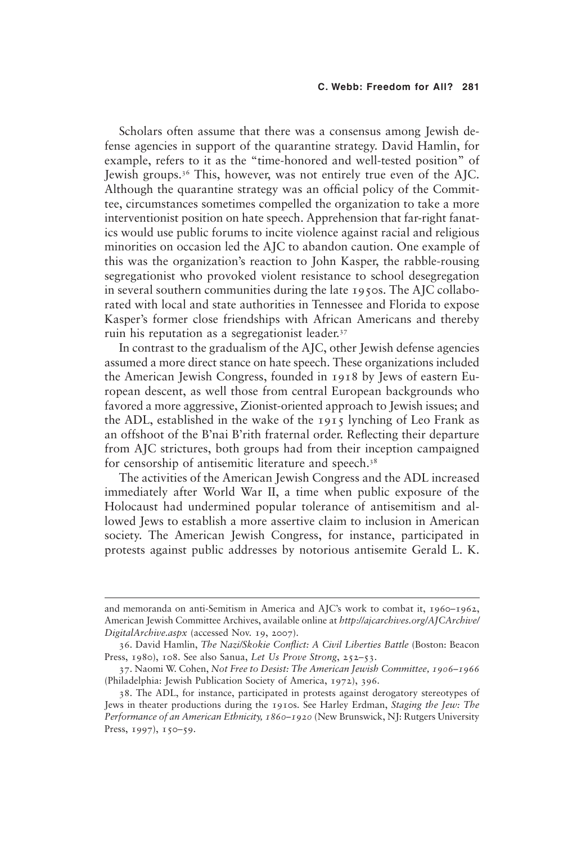Scholars often assume that there was a consensus among Jewish defense agencies in support of the quarantine strategy. David Hamlin, for example, refers to it as the "time-honored and well-tested position" of Jewish groups.36 This, however, was not entirely true even of the AJC. Although the quarantine strategy was an official policy of the Committee, circumstances sometimes compelled the organization to take a more interventionist position on hate speech. Apprehension that far-right fanatics would use public forums to incite violence against racial and religious minorities on occasion led the AJC to abandon caution. One example of this was the organization's reaction to John Kasper, the rabble-rousing segregationist who provoked violent resistance to school desegregation in several southern communities during the late 1950s. The AJC collaborated with local and state authorities in Tennessee and Florida to expose Kasper's former close friendships with African Americans and thereby ruin his reputation as a segregationist leader.<sup>37</sup>

In contrast to the gradualism of the AJC, other Jewish defense agencies assumed a more direct stance on hate speech. These organizations included the American Jewish Congress, founded in 1918 by Jews of eastern European descent, as well those from central European backgrounds who favored a more aggressive, Zionist-oriented approach to Jewish issues; and the ADL, established in the wake of the 1915 lynching of Leo Frank as an offshoot of the B'nai B'rith fraternal order. Reflecting their departure from AJC strictures, both groups had from their inception campaigned for censorship of antisemitic literature and speech.<sup>38</sup>

The activities of the American Jewish Congress and the ADL increased immediately after World War II, a time when public exposure of the Holocaust had undermined popular tolerance of antisemitism and allowed Jews to establish a more assertive claim to inclusion in American society. The American Jewish Congress, for instance, participated in protests against public addresses by notorious antisemite Gerald L. K.

and memoranda on anti-Semitism in America and AJC's work to combat it, 1960–1962, American Jewish Committee Archives, available online at *http://ajcarchives.org/AJCArchive/ DigitalArchive.aspx* (accessed Nov. 19, 2007).

<sup>36</sup>. David Hamlin, *The Nazi/Skokie Conflict: A Civil Liberties Battle* (Boston: Beacon Press, 1980), 108. See also Sanua, *Let Us Prove Strong*, 252–53.

<sup>37</sup>. Naomi W. Cohen, *Not Free to Desist: The American Jewish Committee, 1906–1966* (Philadelphia: Jewish Publication Society of America, 1972), 396.

<sup>38</sup>. The ADL, for instance, participated in protests against derogatory stereotypes of Jews in theater productions during the 1910s. See Harley Erdman, *Staging the Jew: The Performance of an American Ethnicity, 1860–1920* (New Brunswick, NJ: Rutgers University Press, 1997), 150-59.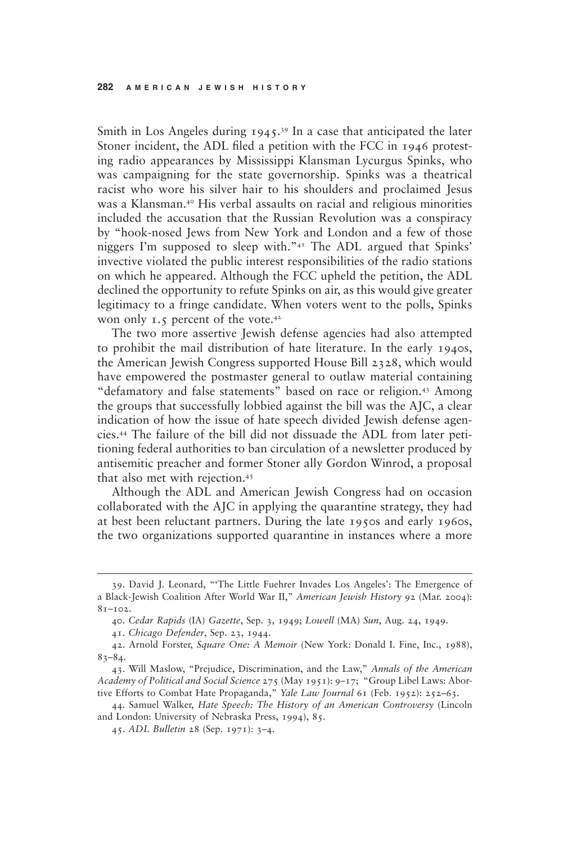Smith in Los Angeles during 1945.<sup>39</sup> In a case that anticipated the later Stoner incident, the ADL filed a petition with the FCC in 1946 protesting radio appearances by Mississippi Klansman Lycurgus Spinks, who was campaigning for the state governorship. Spinks was a theatrical racist who wore his silver hair to his shoulders and proclaimed Jesus was a Klansman.40 His verbal assaults on racial and religious minorities included the accusation that the Russian Revolution was a conspiracy by "hook-nosed Jews from New York and London and a few of those niggers I'm supposed to sleep with."41 The ADL argued that Spinks' invective violated the public interest responsibilities of the radio stations on which he appeared. Although the FCC upheld the petition, the ADL declined the opportunity to refute Spinks on air, as this would give greater legitimacy to a fringe candidate. When voters went to the polls, Spinks won only  $\mathbf{I}$ , s percent of the vote.<sup>42</sup>

The two more assertive Jewish defense agencies had also attempted to prohibit the mail distribution of hate literature. In the early 1940s, the American Jewish Congress supported House Bill 2328, which would have empowered the postmaster general to outlaw material containing "defamatory and false statements" based on race or religion.43 Among the groups that successfully lobbied against the bill was the AJC, a clear indication of how the issue of hate speech divided Jewish defense agencies.44 The failure of the bill did not dissuade the ADL from later petitioning federal authorities to ban circulation of a newsletter produced by antisemitic preacher and former Stoner ally Gordon Winrod, a proposal that also met with rejection.<sup>45</sup>

Although the ADL and American Jewish Congress had on occasion collaborated with the AJC in applying the quarantine strategy, they had at best been reluctant partners. During the late 1950s and early 1960s, the two organizations supported quarantine in instances where a more

<sup>39</sup>. David J. Leonard, "'The Little Fuehrer Invades Los Angeles': The Emergence of a Black-Jewish Coalition After World War II," *American Jewish History* 92 (Mar. 2004): 81–102.

<sup>40</sup>. *Cedar Rapids* (IA) *Gazette*, Sep. 3, 1949; *Lowell* (MA) *Sun*, Aug. 24, 1949.

<sup>41</sup>. *Chicago Defender*, Sep. 23, 1944.

<sup>42</sup>. Arnold Forster, *Square One: A Memoir* (New York: Donald I. Fine, Inc., 1988),  $83 - 84.$ 

<sup>43</sup>. Will Maslow, "Prejudice, Discrimination, and the Law," *Annals of the American Academy of Political and Social Science* 275 (May 1951): 9–17; "Group Libel Laws: Abortive Efforts to Combat Hate Propaganda," *Yale Law Journal* 61 (Feb. 1952): 252–63.

<sup>44</sup>. Samuel Walker, *Hate Speech: The History of an American Controversy* (Lincoln and London: University of Nebraska Press, 1994), 85.

<sup>45</sup>. *ADL Bulletin* 28 (Sep. 1971): 3–4.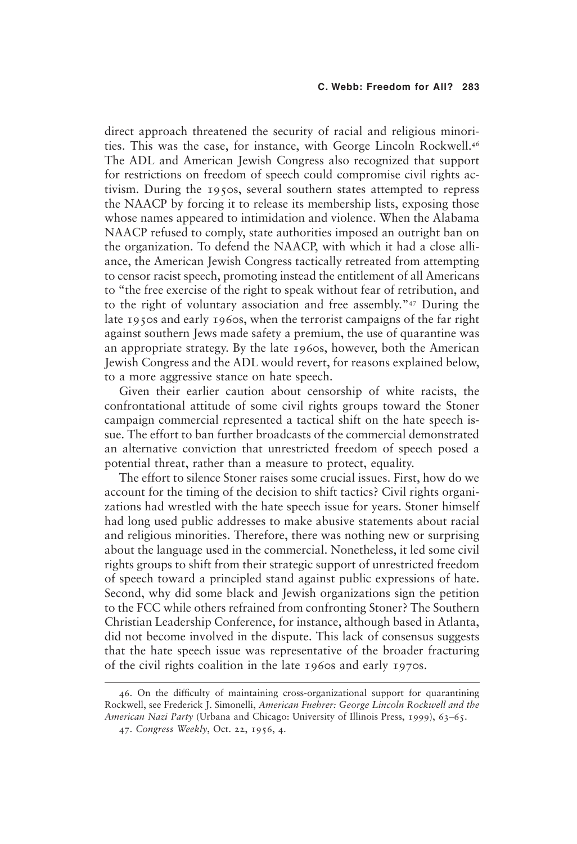direct approach threatened the security of racial and religious minorities. This was the case, for instance, with George Lincoln Rockwell.<sup>46</sup> The ADL and American Jewish Congress also recognized that support for restrictions on freedom of speech could compromise civil rights activism. During the 1950s, several southern states attempted to repress the NAACP by forcing it to release its membership lists, exposing those whose names appeared to intimidation and violence. When the Alabama NAACP refused to comply, state authorities imposed an outright ban on the organization. To defend the NAACP, with which it had a close alliance, the American Jewish Congress tactically retreated from attempting to censor racist speech, promoting instead the entitlement of all Americans to "the free exercise of the right to speak without fear of retribution, and to the right of voluntary association and free assembly."47 During the late 1950s and early 1960s, when the terrorist campaigns of the far right against southern Jews made safety a premium, the use of quarantine was an appropriate strategy. By the late 1960s, however, both the American Jewish Congress and the ADL would revert, for reasons explained below, to a more aggressive stance on hate speech.

Given their earlier caution about censorship of white racists, the confrontational attitude of some civil rights groups toward the Stoner campaign commercial represented a tactical shift on the hate speech issue. The effort to ban further broadcasts of the commercial demonstrated an alternative conviction that unrestricted freedom of speech posed a potential threat, rather than a measure to protect, equality.

The effort to silence Stoner raises some crucial issues. First, how do we account for the timing of the decision to shift tactics? Civil rights organizations had wrestled with the hate speech issue for years. Stoner himself had long used public addresses to make abusive statements about racial and religious minorities. Therefore, there was nothing new or surprising about the language used in the commercial. Nonetheless, it led some civil rights groups to shift from their strategic support of unrestricted freedom of speech toward a principled stand against public expressions of hate. Second, why did some black and Jewish organizations sign the petition to the FCC while others refrained from confronting Stoner? The Southern Christian Leadership Conference, for instance, although based in Atlanta, did not become involved in the dispute. This lack of consensus suggests that the hate speech issue was representative of the broader fracturing of the civil rights coalition in the late 1960s and early 1970s.

<sup>46</sup>. On the difficulty of maintaining cross-organizational support for quarantining Rockwell, see Frederick J. Simonelli, *American Fuehrer: George Lincoln Rockwell and the American Nazi Party* (Urbana and Chicago: University of Illinois Press, 1999), 63–65.

<sup>47</sup>. *Congress Weekly*, Oct. 22, 1956, 4.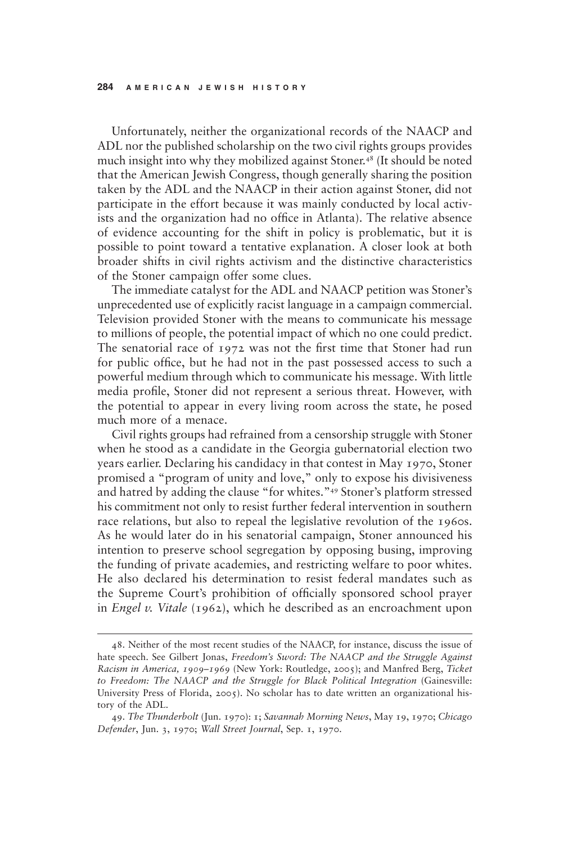Unfortunately, neither the organizational records of the NAACP and ADL nor the published scholarship on the two civil rights groups provides much insight into why they mobilized against Stoner.<sup>48</sup> (It should be noted that the American Jewish Congress, though generally sharing the position taken by the ADL and the NAACP in their action against Stoner, did not participate in the effort because it was mainly conducted by local activists and the organization had no office in Atlanta). The relative absence of evidence accounting for the shift in policy is problematic, but it is possible to point toward a tentative explanation. A closer look at both broader shifts in civil rights activism and the distinctive characteristics of the Stoner campaign offer some clues.

The immediate catalyst for the ADL and NAACP petition was Stoner's unprecedented use of explicitly racist language in a campaign commercial. Television provided Stoner with the means to communicate his message to millions of people, the potential impact of which no one could predict. The senatorial race of 1972 was not the first time that Stoner had run for public office, but he had not in the past possessed access to such a powerful medium through which to communicate his message. With little media profile, Stoner did not represent a serious threat. However, with the potential to appear in every living room across the state, he posed much more of a menace.

Civil rights groups had refrained from a censorship struggle with Stoner when he stood as a candidate in the Georgia gubernatorial election two years earlier. Declaring his candidacy in that contest in May 1970, Stoner promised a "program of unity and love," only to expose his divisiveness and hatred by adding the clause "for whites."49 Stoner's platform stressed his commitment not only to resist further federal intervention in southern race relations, but also to repeal the legislative revolution of the 1960s. As he would later do in his senatorial campaign, Stoner announced his intention to preserve school segregation by opposing busing, improving the funding of private academies, and restricting welfare to poor whites. He also declared his determination to resist federal mandates such as the Supreme Court's prohibition of officially sponsored school prayer in *Engel v. Vitale* (1962), which he described as an encroachment upon

<sup>48</sup>. Neither of the most recent studies of the NAACP, for instance, discuss the issue of hate speech. See Gilbert Jonas, *Freedom's Sword: The NAACP and the Struggle Against Racism in America, 1909–1969* (New York: Routledge, 2005); and Manfred Berg, *Ticket to Freedom: The NAACP and the Struggle for Black Political Integration* (Gainesville: University Press of Florida, 2005). No scholar has to date written an organizational history of the ADL.

<sup>49</sup>. *The Thunderbolt* (Jun. 1970): 1; *Savannah Morning News*, May 19, 1970; *Chicago Defender*, Jun. 3, 1970; *Wall Street Journal*, Sep. 1, 1970.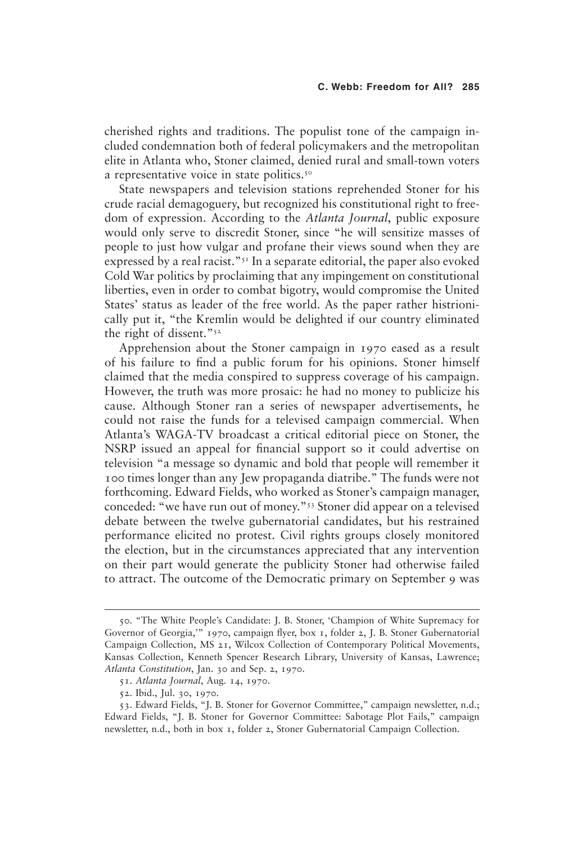cherished rights and traditions. The populist tone of the campaign included condemnation both of federal policymakers and the metropolitan elite in Atlanta who, Stoner claimed, denied rural and small-town voters a representative voice in state politics.<sup>50</sup>

State newspapers and television stations reprehended Stoner for his crude racial demagoguery, but recognized his constitutional right to freedom of expression. According to the *Atlanta Journal*, public exposure would only serve to discredit Stoner, since "he will sensitize masses of people to just how vulgar and profane their views sound when they are expressed by a real racist."<sup>51</sup> In a separate editorial, the paper also evoked Cold War politics by proclaiming that any impingement on constitutional liberties, even in order to combat bigotry, would compromise the United States' status as leader of the free world. As the paper rather histrionically put it, "the Kremlin would be delighted if our country eliminated the right of dissent."<sup>52</sup>

Apprehension about the Stoner campaign in 1970 eased as a result of his failure to find a public forum for his opinions. Stoner himself claimed that the media conspired to suppress coverage of his campaign. However, the truth was more prosaic: he had no money to publicize his cause. Although Stoner ran a series of newspaper advertisements, he could not raise the funds for a televised campaign commercial. When Atlanta's WAGA-TV broadcast a critical editorial piece on Stoner, the NSRP issued an appeal for financial support so it could advertise on television "a message so dynamic and bold that people will remember it 100 times longer than any Jew propaganda diatribe." The funds were not forthcoming. Edward Fields, who worked as Stoner's campaign manager, conceded: "we have run out of money."53 Stoner did appear on a televised debate between the twelve gubernatorial candidates, but his restrained performance elicited no protest. Civil rights groups closely monitored the election, but in the circumstances appreciated that any intervention on their part would generate the publicity Stoner had otherwise failed to attract. The outcome of the Democratic primary on September 9 was

<sup>50</sup>. "The White People's Candidate: J. B. Stoner, 'Champion of White Supremacy for Governor of Georgia,'" 1970, campaign flyer, box 1, folder 2, J. B. Stoner Gubernatorial Campaign Collection, MS 21, Wilcox Collection of Contemporary Political Movements, Kansas Collection, Kenneth Spencer Research Library, University of Kansas, Lawrence; *Atlanta Constitution*, Jan. 30 and Sep. 2, 1970.

<sup>51</sup>. *Atlanta Journal*, Aug. 14, 1970.

<sup>52</sup>. Ibid., Jul. 30, 1970.

<sup>53</sup>. Edward Fields, "J. B. Stoner for Governor Committee," campaign newsletter, n.d.; Edward Fields, "J. B. Stoner for Governor Committee: Sabotage Plot Fails," campaign newsletter, n.d., both in box 1, folder 2, Stoner Gubernatorial Campaign Collection.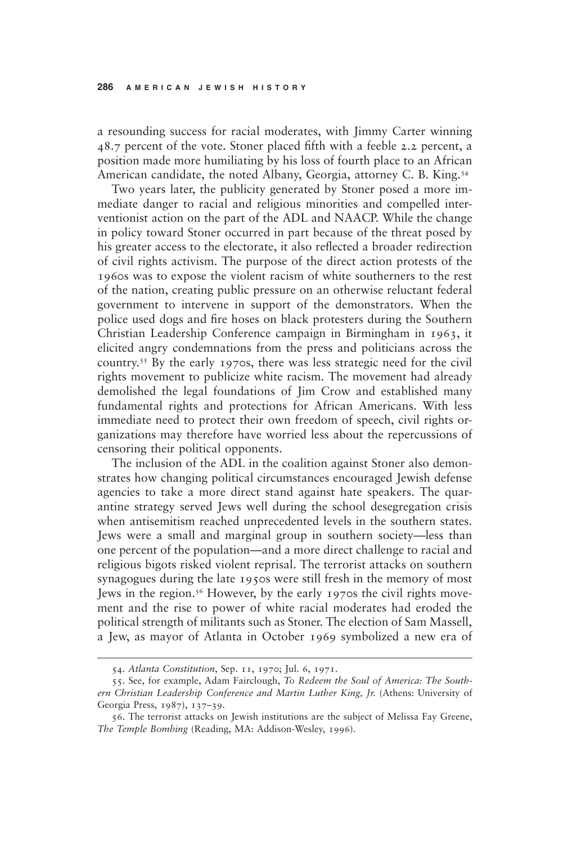a resounding success for racial moderates, with Jimmy Carter winning 48.7 percent of the vote. Stoner placed fifth with a feeble 2.2 percent, a position made more humiliating by his loss of fourth place to an African American candidate, the noted Albany, Georgia, attorney C. B. King.<sup>54</sup>

Two years later, the publicity generated by Stoner posed a more immediate danger to racial and religious minorities and compelled interventionist action on the part of the ADL and NAACP. While the change in policy toward Stoner occurred in part because of the threat posed by his greater access to the electorate, it also reflected a broader redirection of civil rights activism. The purpose of the direct action protests of the 1960s was to expose the violent racism of white southerners to the rest of the nation, creating public pressure on an otherwise reluctant federal government to intervene in support of the demonstrators. When the police used dogs and fire hoses on black protesters during the Southern Christian Leadership Conference campaign in Birmingham in 1963, it elicited angry condemnations from the press and politicians across the country.55 By the early 1970s, there was less strategic need for the civil rights movement to publicize white racism. The movement had already demolished the legal foundations of Jim Crow and established many fundamental rights and protections for African Americans. With less immediate need to protect their own freedom of speech, civil rights organizations may therefore have worried less about the repercussions of censoring their political opponents.

The inclusion of the ADL in the coalition against Stoner also demonstrates how changing political circumstances encouraged Jewish defense agencies to take a more direct stand against hate speakers. The quarantine strategy served Jews well during the school desegregation crisis when antisemitism reached unprecedented levels in the southern states. Jews were a small and marginal group in southern society—less than one percent of the population—and a more direct challenge to racial and religious bigots risked violent reprisal. The terrorist attacks on southern synagogues during the late 1950s were still fresh in the memory of most Jews in the region.<sup>56</sup> However, by the early 1970s the civil rights movement and the rise to power of white racial moderates had eroded the political strength of militants such as Stoner. The election of Sam Massell, a Jew, as mayor of Atlanta in October 1969 symbolized a new era of

<sup>54</sup>. *Atlanta Constitution*, Sep. 11, 1970; Jul. 6, 1971.

<sup>55</sup>. See, for example, Adam Fairclough, *To Redeem the Soul of America: The South*ern Christian Leadership Conference and Martin Luther King, Jr. (Athens: University of Georgia Press, 1987), 137–39.

<sup>56</sup>. The terrorist attacks on Jewish institutions are the subject of Melissa Fay Greene, *The Temple Bombing* (Reading, MA: Addison-Wesley, 1996).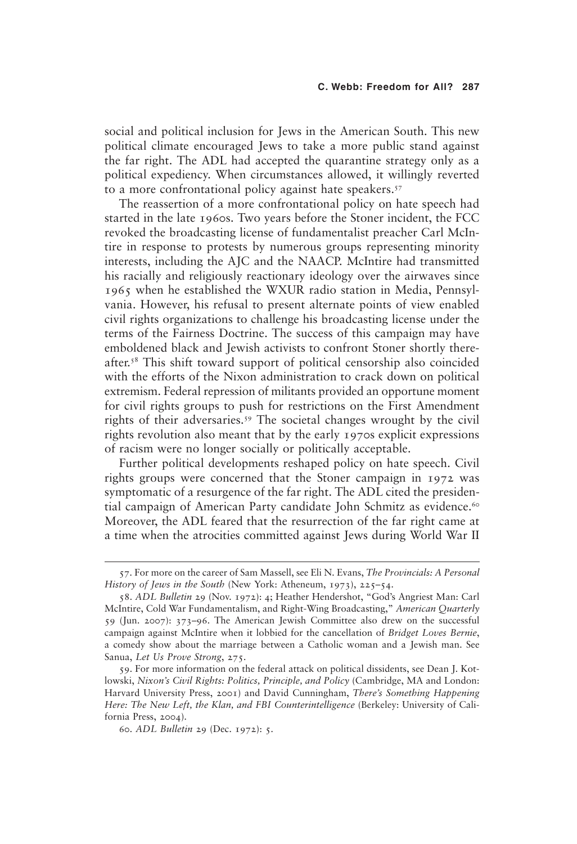social and political inclusion for Jews in the American South. This new political climate encouraged Jews to take a more public stand against the far right. The ADL had accepted the quarantine strategy only as a political expediency. When circumstances allowed, it willingly reverted to a more confrontational policy against hate speakers.<sup>57</sup>

The reassertion of a more confrontational policy on hate speech had started in the late 1960s. Two years before the Stoner incident, the FCC revoked the broadcasting license of fundamentalist preacher Carl McIntire in response to protests by numerous groups representing minority interests, including the AJC and the NAACP. McIntire had transmitted his racially and religiously reactionary ideology over the airwaves since 1965 when he established the WXUR radio station in Media, Pennsylvania. However, his refusal to present alternate points of view enabled civil rights organizations to challenge his broadcasting license under the terms of the Fairness Doctrine. The success of this campaign may have emboldened black and Jewish activists to confront Stoner shortly thereafter.58 This shift toward support of political censorship also coincided with the efforts of the Nixon administration to crack down on political extremism. Federal repression of militants provided an opportune moment for civil rights groups to push for restrictions on the First Amendment rights of their adversaries.59 The societal changes wrought by the civil rights revolution also meant that by the early 1970s explicit expressions of racism were no longer socially or politically acceptable.

Further political developments reshaped policy on hate speech. Civil rights groups were concerned that the Stoner campaign in 1972 was symptomatic of a resurgence of the far right. The ADL cited the presidential campaign of American Party candidate John Schmitz as evidence.<sup>60</sup> Moreover, the ADL feared that the resurrection of the far right came at a time when the atrocities committed against Jews during World War II

60. *ADL Bulletin* 29 (Dec. 1972): 5.

<sup>57</sup>. For more on the career of Sam Massell, see Eli N. Evans, *The Provincials: A Personal History of Jews in the South* (New York: Atheneum, 1973), 225–54.

<sup>58</sup>. *ADL Bulletin* 29 (Nov. 1972): 4; Heather Hendershot, "God's Angriest Man: Carl McIntire, Cold War Fundamentalism, and Right-Wing Broadcasting," *American Quarterly* 59 (Jun. 2007): 373–96. The American Jewish Committee also drew on the successful campaign against McIntire when it lobbied for the cancellation of *Bridget Loves Bernie*, a comedy show about the marriage between a Catholic woman and a Jewish man. See Sanua, *Let Us Prove Strong*, 275.

<sup>59</sup>. For more information on the federal attack on political dissidents, see Dean J. Kotlowski, *Nixon's Civil Rights: Politics, Principle, and Policy* (Cambridge, MA and London: Harvard University Press, 2001) and David Cunningham, *There's Something Happening Here: The New Left, the Klan, and FBI Counterintelligence* (Berkeley: University of California Press, 2004).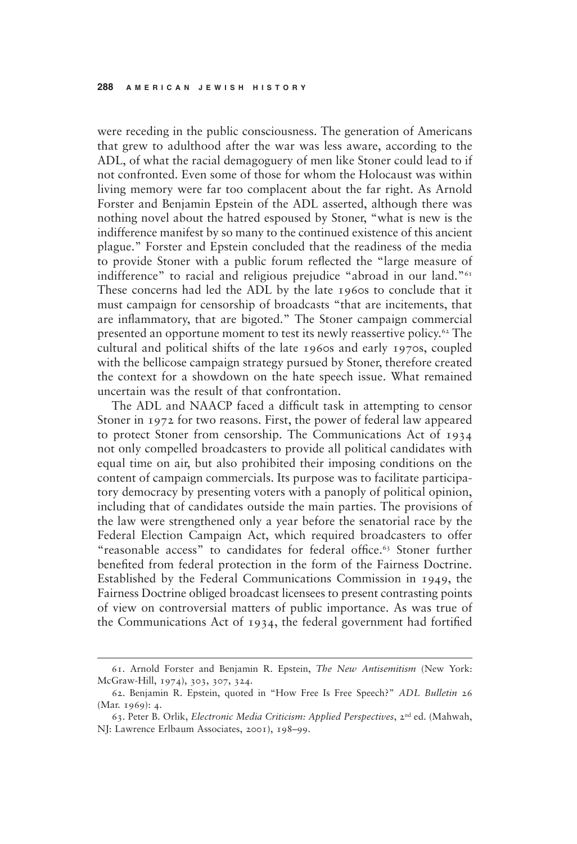were receding in the public consciousness. The generation of Americans that grew to adulthood after the war was less aware, according to the ADL, of what the racial demagoguery of men like Stoner could lead to if not confronted. Even some of those for whom the Holocaust was within living memory were far too complacent about the far right. As Arnold Forster and Benjamin Epstein of the ADL asserted, although there was nothing novel about the hatred espoused by Stoner, "what is new is the indifference manifest by so many to the continued existence of this ancient plague." Forster and Epstein concluded that the readiness of the media to provide Stoner with a public forum reflected the "large measure of indifference" to racial and religious prejudice "abroad in our land."<sup>61</sup> These concerns had led the ADL by the late 1960s to conclude that it must campaign for censorship of broadcasts "that are incitements, that are inflammatory, that are bigoted." The Stoner campaign commercial presented an opportune moment to test its newly reassertive policy.62 The cultural and political shifts of the late 1960s and early 1970s, coupled with the bellicose campaign strategy pursued by Stoner, therefore created the context for a showdown on the hate speech issue. What remained uncertain was the result of that confrontation.

The ADL and NAACP faced a difficult task in attempting to censor Stoner in 1972 for two reasons. First, the power of federal law appeared to protect Stoner from censorship. The Communications Act of 1934 not only compelled broadcasters to provide all political candidates with equal time on air, but also prohibited their imposing conditions on the content of campaign commercials. Its purpose was to facilitate participatory democracy by presenting voters with a panoply of political opinion, including that of candidates outside the main parties. The provisions of the law were strengthened only a year before the senatorial race by the Federal Election Campaign Act, which required broadcasters to offer "reasonable access" to candidates for federal office.63 Stoner further benefited from federal protection in the form of the Fairness Doctrine. Established by the Federal Communications Commission in 1949, the Fairness Doctrine obliged broadcast licensees to present contrasting points of view on controversial matters of public importance. As was true of the Communications Act of 1934, the federal government had fortified

<sup>61</sup>. Arnold Forster and Benjamin R. Epstein, *The New Antisemitism* (New York: McGraw-Hill, 1974), 303, 307, 324.

<sup>62</sup>. Benjamin R. Epstein, quoted in "How Free Is Free Speech?" *ADL Bulletin* 26 (Mar. 1969): 4.

<sup>63</sup>. Peter B. Orlik, *Electronic Media Criticism: Applied Perspectives*, 2 nd ed. (Mahwah, NJ: Lawrence Erlbaum Associates, 2001), 198–99.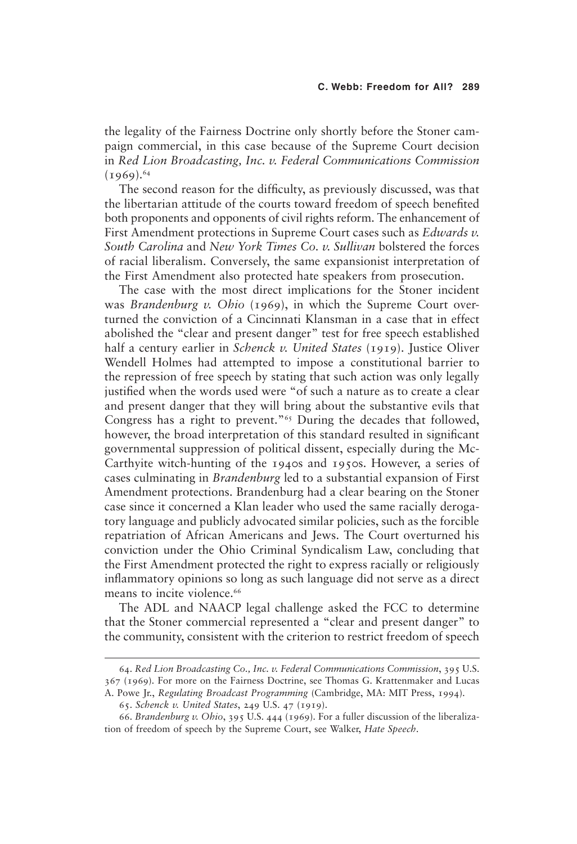the legality of the Fairness Doctrine only shortly before the Stoner campaign commercial, in this case because of the Supreme Court decision in *Red Lion Broadcasting, Inc. v. Federal Communications Commission*   $(T969)$ . <sup>64</sup>

The second reason for the difficulty, as previously discussed, was that the libertarian attitude of the courts toward freedom of speech benefited both proponents and opponents of civil rights reform. The enhancement of First Amendment protections in Supreme Court cases such as *Edwards v. South Carolina* and *New York Times Co. v. Sullivan* bolstered the forces of racial liberalism. Conversely, the same expansionist interpretation of the First Amendment also protected hate speakers from prosecution.

The case with the most direct implications for the Stoner incident was *Brandenburg v. Ohio* (1969), in which the Supreme Court overturned the conviction of a Cincinnati Klansman in a case that in effect abolished the "clear and present danger" test for free speech established half a century earlier in *Schenck v. United States* (1919). Justice Oliver Wendell Holmes had attempted to impose a constitutional barrier to the repression of free speech by stating that such action was only legally justified when the words used were "of such a nature as to create a clear and present danger that they will bring about the substantive evils that Congress has a right to prevent."<sup>65</sup> During the decades that followed, however, the broad interpretation of this standard resulted in significant governmental suppression of political dissent, especially during the Mc-Carthyite witch-hunting of the 1940s and 1950s. However, a series of cases culminating in *Brandenburg* led to a substantial expansion of First Amendment protections. Brandenburg had a clear bearing on the Stoner case since it concerned a Klan leader who used the same racially derogatory language and publicly advocated similar policies, such as the forcible repatriation of African Americans and Jews. The Court overturned his conviction under the Ohio Criminal Syndicalism Law, concluding that the First Amendment protected the right to express racially or religiously inflammatory opinions so long as such language did not serve as a direct means to incite violence.<sup>66</sup>

The ADL and NAACP legal challenge asked the FCC to determine that the Stoner commercial represented a "clear and present danger" to the community, consistent with the criterion to restrict freedom of speech

<sup>64</sup>. *Red Lion Broadcasting Co., Inc. v. Federal Communications Commission*, 395 U.S. 367 (1969). For more on the Fairness Doctrine, see Thomas G. Krattenmaker and Lucas A. Powe Jr., *Regulating Broadcast Programming* (Cambridge, MA: MIT Press, 1994).

<sup>65</sup>. *Schenck v. United States*, 249 U.S. 47 (1919).

<sup>66</sup>. *Brandenburg v. Ohio*, 395 U.S. 444 (1969). For a fuller discussion of the liberalization of freedom of speech by the Supreme Court, see Walker, *Hate Speech*.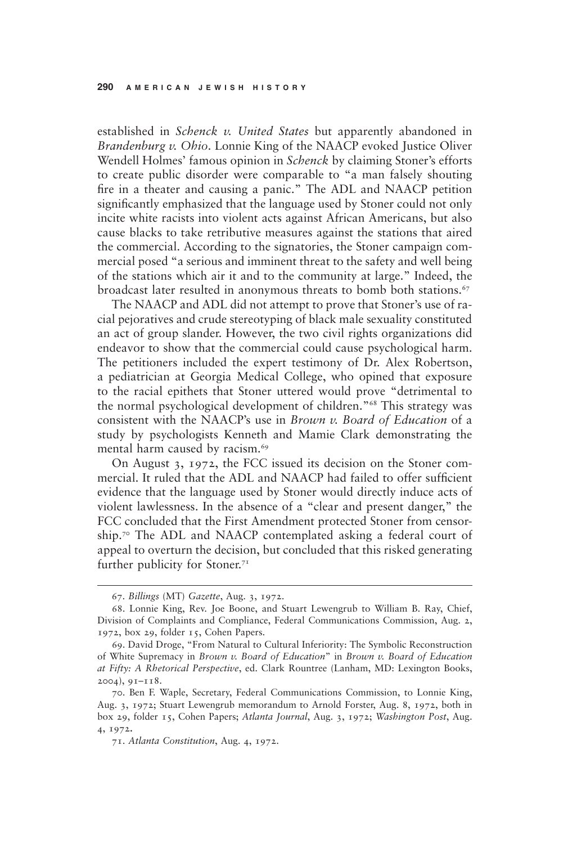established in *Schenck v. United States* but apparently abandoned in *Brandenburg v. Ohio*. Lonnie King of the NAACP evoked Justice Oliver Wendell Holmes' famous opinion in *Schenck* by claiming Stoner's efforts to create public disorder were comparable to "a man falsely shouting fire in a theater and causing a panic." The ADL and NAACP petition significantly emphasized that the language used by Stoner could not only incite white racists into violent acts against African Americans, but also cause blacks to take retributive measures against the stations that aired the commercial. According to the signatories, the Stoner campaign commercial posed "a serious and imminent threat to the safety and well being of the stations which air it and to the community at large." Indeed, the broadcast later resulted in anonymous threats to bomb both stations.<sup>67</sup>

The NAACP and ADL did not attempt to prove that Stoner's use of racial pejoratives and crude stereotyping of black male sexuality constituted an act of group slander. However, the two civil rights organizations did endeavor to show that the commercial could cause psychological harm. The petitioners included the expert testimony of Dr. Alex Robertson, a pediatrician at Georgia Medical College, who opined that exposure to the racial epithets that Stoner uttered would prove "detrimental to the normal psychological development of children."68 This strategy was consistent with the NAACP's use in *Brown v. Board of Education* of a study by psychologists Kenneth and Mamie Clark demonstrating the mental harm caused by racism.<sup>69</sup>

On August 3, 1972, the FCC issued its decision on the Stoner commercial. It ruled that the ADL and NAACP had failed to offer sufficient evidence that the language used by Stoner would directly induce acts of violent lawlessness. In the absence of a "clear and present danger," the FCC concluded that the First Amendment protected Stoner from censorship.70 The ADL and NAACP contemplated asking a federal court of appeal to overturn the decision, but concluded that this risked generating further publicity for Stoner.<sup>71</sup>

<sup>67</sup>. *Billings* (MT) *Gazette*, Aug. 3, 1972.

<sup>68</sup>. Lonnie King, Rev. Joe Boone, and Stuart Lewengrub to William B. Ray, Chief, Division of Complaints and Compliance, Federal Communications Commission, Aug. 2, 1972, box 29, folder 15, Cohen Papers.

<sup>69</sup>. David Droge, "From Natural to Cultural Inferiority: The Symbolic Reconstruction of White Supremacy in *Brown v. Board of Education*" in *Brown v. Board of Education at Fifty: A Rhetorical Perspective*, ed. Clark Rountree (Lanham, MD: Lexington Books, 2004), 91–118.

<sup>70</sup>. Ben F. Waple, Secretary, Federal Communications Commission, to Lonnie King, Aug. 3, 1972; Stuart Lewengrub memorandum to Arnold Forster, Aug. 8, 1972, both in box 29, folder 15, Cohen Papers; *Atlanta Journal*, Aug. 3, 1972; *Washington Post*, Aug. 4, 1972**.** 

<sup>71</sup>. *Atlanta Constitution*, Aug. 4, 1972.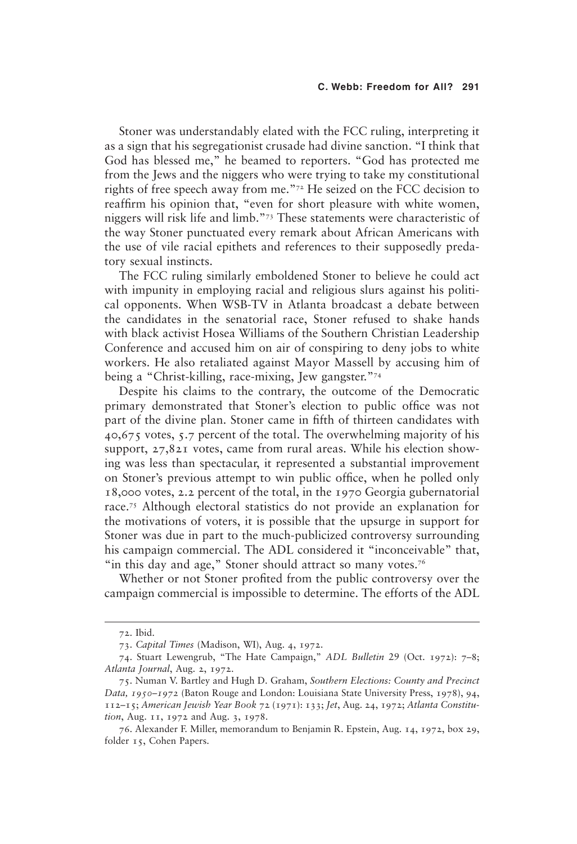Stoner was understandably elated with the FCC ruling, interpreting it as a sign that his segregationist crusade had divine sanction. "I think that God has blessed me," he beamed to reporters. "God has protected me from the Jews and the niggers who were trying to take my constitutional rights of free speech away from me."72 He seized on the FCC decision to reaffirm his opinion that, "even for short pleasure with white women, niggers will risk life and limb."73 These statements were characteristic of the way Stoner punctuated every remark about African Americans with the use of vile racial epithets and references to their supposedly predatory sexual instincts.

The FCC ruling similarly emboldened Stoner to believe he could act with impunity in employing racial and religious slurs against his political opponents. When WSB-TV in Atlanta broadcast a debate between the candidates in the senatorial race, Stoner refused to shake hands with black activist Hosea Williams of the Southern Christian Leadership Conference and accused him on air of conspiring to deny jobs to white workers. He also retaliated against Mayor Massell by accusing him of being a "Christ-killing, race-mixing, Jew gangster."<sup>74</sup>

Despite his claims to the contrary, the outcome of the Democratic primary demonstrated that Stoner's election to public office was not part of the divine plan. Stoner came in fifth of thirteen candidates with 40,675 votes, 5.7 percent of the total. The overwhelming majority of his support, 27,821 votes, came from rural areas. While his election showing was less than spectacular, it represented a substantial improvement on Stoner's previous attempt to win public office, when he polled only 18,000 votes, 2.2 percent of the total, in the 1970 Georgia gubernatorial race.75 Although electoral statistics do not provide an explanation for the motivations of voters, it is possible that the upsurge in support for Stoner was due in part to the much-publicized controversy surrounding his campaign commercial. The ADL considered it "inconceivable" that, "in this day and age," Stoner should attract so many votes.<sup>76</sup>

Whether or not Stoner profited from the public controversy over the campaign commercial is impossible to determine. The efforts of the ADL

<sup>72</sup>. Ibid.

<sup>73</sup>. *Capital Times* (Madison, WI), Aug. 4, 1972.

<sup>74</sup>. Stuart Lewengrub, "The Hate Campaign," *ADL Bulletin* 29 (Oct. 1972): 7–8; *Atlanta Journal*, Aug. 2, 1972.

<sup>75</sup>. Numan V. Bartley and Hugh D. Graham, *Southern Elections: County and Precinct Data, 1950–1972* (Baton Rouge and London: Louisiana State University Press, 1978), 94, 112–15; *American Jewish Year Book* 72 (1971): 133; *Jet*, Aug. 24, 1972; *Atlanta Constitution*, Aug. 11, 1972 and Aug. 3, 1978.

<sup>76.</sup> Alexander F. Miller, memorandum to Benjamin R. Epstein, Aug. 14, 1972, box 29, folder 15, Cohen Papers.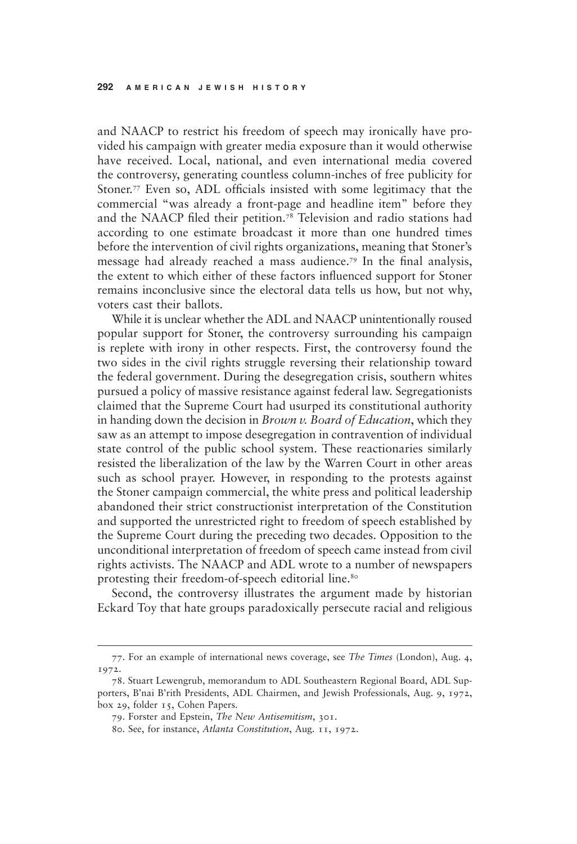and NAACP to restrict his freedom of speech may ironically have provided his campaign with greater media exposure than it would otherwise have received. Local, national, and even international media covered the controversy, generating countless column-inches of free publicity for Stoner.77 Even so, ADL officials insisted with some legitimacy that the commercial "was already a front-page and headline item" before they and the NAACP filed their petition.78 Television and radio stations had according to one estimate broadcast it more than one hundred times before the intervention of civil rights organizations, meaning that Stoner's message had already reached a mass audience.79 In the final analysis, the extent to which either of these factors influenced support for Stoner remains inconclusive since the electoral data tells us how, but not why, voters cast their ballots.

While it is unclear whether the ADL and NAACP unintentionally roused popular support for Stoner, the controversy surrounding his campaign is replete with irony in other respects. First, the controversy found the two sides in the civil rights struggle reversing their relationship toward the federal government. During the desegregation crisis, southern whites pursued a policy of massive resistance against federal law. Segregationists claimed that the Supreme Court had usurped its constitutional authority in handing down the decision in *Brown v. Board of Education*, which they saw as an attempt to impose desegregation in contravention of individual state control of the public school system. These reactionaries similarly resisted the liberalization of the law by the Warren Court in other areas such as school prayer. However, in responding to the protests against the Stoner campaign commercial, the white press and political leadership abandoned their strict constructionist interpretation of the Constitution and supported the unrestricted right to freedom of speech established by the Supreme Court during the preceding two decades. Opposition to the unconditional interpretation of freedom of speech came instead from civil rights activists. The NAACP and ADL wrote to a number of newspapers protesting their freedom-of-speech editorial line.<sup>80</sup>

Second, the controversy illustrates the argument made by historian Eckard Toy that hate groups paradoxically persecute racial and religious

<sup>77</sup>. For an example of international news coverage, see *The Times* (London), Aug. 4, 1972.

<sup>78</sup>. Stuart Lewengrub, memorandum to ADL Southeastern Regional Board, ADL Supporters, B'nai B'rith Presidents, ADL Chairmen, and Jewish Professionals, Aug. 9, 1972, box 29, folder 15, Cohen Papers.

<sup>79</sup>. Forster and Epstein, *The New Antisemitism*, 301.

<sup>80</sup>. See, for instance, *Atlanta Constitution*, Aug. 11, 1972.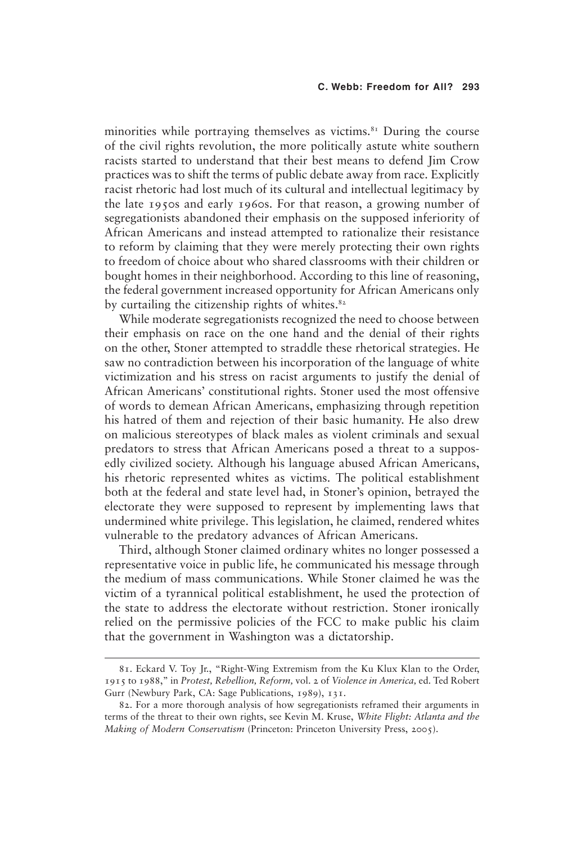minorities while portraying themselves as victims. ${}^{81}$  During the course of the civil rights revolution, the more politically astute white southern racists started to understand that their best means to defend Jim Crow practices was to shift the terms of public debate away from race. Explicitly racist rhetoric had lost much of its cultural and intellectual legitimacy by the late 1950s and early 1960s. For that reason, a growing number of segregationists abandoned their emphasis on the supposed inferiority of African Americans and instead attempted to rationalize their resistance to reform by claiming that they were merely protecting their own rights to freedom of choice about who shared classrooms with their children or bought homes in their neighborhood. According to this line of reasoning, the federal government increased opportunity for African Americans only by curtailing the citizenship rights of whites. $82$ 

While moderate segregationists recognized the need to choose between their emphasis on race on the one hand and the denial of their rights on the other, Stoner attempted to straddle these rhetorical strategies. He saw no contradiction between his incorporation of the language of white victimization and his stress on racist arguments to justify the denial of African Americans' constitutional rights. Stoner used the most offensive of words to demean African Americans, emphasizing through repetition his hatred of them and rejection of their basic humanity. He also drew on malicious stereotypes of black males as violent criminals and sexual predators to stress that African Americans posed a threat to a supposedly civilized society. Although his language abused African Americans, his rhetoric represented whites as victims. The political establishment both at the federal and state level had, in Stoner's opinion, betrayed the electorate they were supposed to represent by implementing laws that undermined white privilege. This legislation, he claimed, rendered whites vulnerable to the predatory advances of African Americans.

Third, although Stoner claimed ordinary whites no longer possessed a representative voice in public life, he communicated his message through the medium of mass communications. While Stoner claimed he was the victim of a tyrannical political establishment, he used the protection of the state to address the electorate without restriction. Stoner ironically relied on the permissive policies of the FCC to make public his claim that the government in Washington was a dictatorship.

<sup>81</sup>. Eckard V. Toy Jr., "Right-Wing Extremism from the Ku Klux Klan to the Order, 1915 to 1988," in *Protest, Rebellion, Reform,* vol. 2 of *Violence in America,* ed. Ted Robert Gurr (Newbury Park, CA: Sage Publications, 1989), 131.

<sup>82</sup>. For a more thorough analysis of how segregationists reframed their arguments in terms of the threat to their own rights, see Kevin M. Kruse, *White Flight: Atlanta and the Making of Modern Conservatism* (Princeton: Princeton University Press, 2005).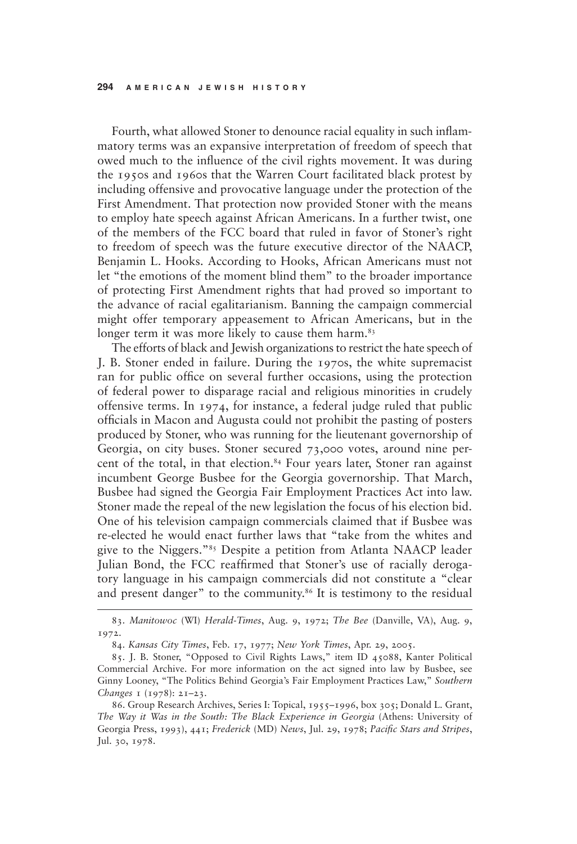Fourth, what allowed Stoner to denounce racial equality in such inflammatory terms was an expansive interpretation of freedom of speech that owed much to the influence of the civil rights movement. It was during the 1950s and 1960s that the Warren Court facilitated black protest by including offensive and provocative language under the protection of the First Amendment. That protection now provided Stoner with the means to employ hate speech against African Americans. In a further twist, one of the members of the FCC board that ruled in favor of Stoner's right to freedom of speech was the future executive director of the NAACP, Benjamin L. Hooks. According to Hooks, African Americans must not let "the emotions of the moment blind them" to the broader importance of protecting First Amendment rights that had proved so important to the advance of racial egalitarianism. Banning the campaign commercial might offer temporary appeasement to African Americans, but in the longer term it was more likely to cause them harm.<sup>83</sup>

The efforts of black and Jewish organizations to restrict the hate speech of J. B. Stoner ended in failure. During the 1970s, the white supremacist ran for public office on several further occasions, using the protection of federal power to disparage racial and religious minorities in crudely offensive terms. In 1974, for instance, a federal judge ruled that public officials in Macon and Augusta could not prohibit the pasting of posters produced by Stoner, who was running for the lieutenant governorship of Georgia, on city buses. Stoner secured 73,000 votes, around nine percent of the total, in that election.<sup>84</sup> Four years later, Stoner ran against incumbent George Busbee for the Georgia governorship. That March, Busbee had signed the Georgia Fair Employment Practices Act into law. Stoner made the repeal of the new legislation the focus of his election bid. One of his television campaign commercials claimed that if Busbee was re-elected he would enact further laws that "take from the whites and give to the Niggers."85 Despite a petition from Atlanta NAACP leader Julian Bond, the FCC reaffirmed that Stoner's use of racially derogatory language in his campaign commercials did not constitute a "clear and present danger" to the community.<sup>86</sup> It is testimony to the residual

83. *Manitowoc* (WI) *Herald-Times*, Aug. 9, 1972; *The Bee* (Danville, VA), Aug. 9, 1972.

84. *Kansas City Times*, Feb. 17, 1977; *New York Times*, Apr. 29, 2005.

85. J. B. Stoner, "Opposed to Civil Rights Laws," item ID 45088, Kanter Political Commercial Archive. For more information on the act signed into law by Busbee, see Ginny Looney, "The Politics Behind Georgia's Fair Employment Practices Law," *Southern Changes* 1 (1978): 21–23.

86. Group Research Archives, Series I: Topical, 1955–1996, box 305; Donald L. Grant, *The Way it Was in the South: The Black Experience in Georgia* (Athens: University of Georgia Press, 1993), 441; *Frederick* (MD) *News*, Jul. 29, 1978; *Pacific Stars and Stripes*, Jul. 30, 1978.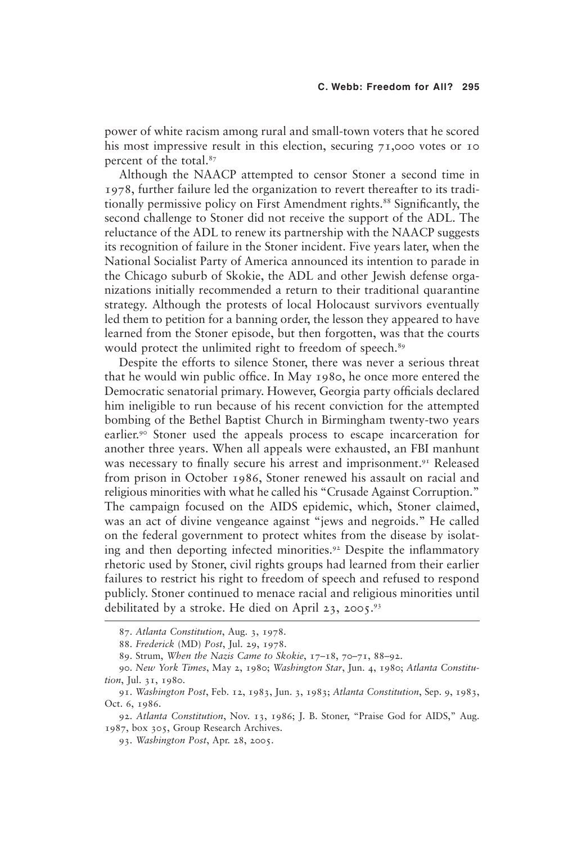power of white racism among rural and small-town voters that he scored his most impressive result in this election, securing 71,000 votes or 10 percent of the total.<sup>87</sup>

Although the NAACP attempted to censor Stoner a second time in 1978, further failure led the organization to revert thereafter to its traditionally permissive policy on First Amendment rights.<sup>88</sup> Significantly, the second challenge to Stoner did not receive the support of the ADL. The reluctance of the ADL to renew its partnership with the NAACP suggests its recognition of failure in the Stoner incident. Five years later, when the National Socialist Party of America announced its intention to parade in the Chicago suburb of Skokie, the ADL and other Jewish defense organizations initially recommended a return to their traditional quarantine strategy. Although the protests of local Holocaust survivors eventually led them to petition for a banning order, the lesson they appeared to have learned from the Stoner episode, but then forgotten, was that the courts would protect the unlimited right to freedom of speech.<sup>89</sup>

Despite the efforts to silence Stoner, there was never a serious threat that he would win public office. In May 1980, he once more entered the Democratic senatorial primary. However, Georgia party officials declared him ineligible to run because of his recent conviction for the attempted bombing of the Bethel Baptist Church in Birmingham twenty-two years earlier.90 Stoner used the appeals process to escape incarceration for another three years. When all appeals were exhausted, an FBI manhunt was necessary to finally secure his arrest and imprisonment.<sup>91</sup> Released from prison in October 1986, Stoner renewed his assault on racial and religious minorities with what he called his "Crusade Against Corruption." The campaign focused on the AIDS epidemic, which, Stoner claimed, was an act of divine vengeance against "jews and negroids." He called on the federal government to protect whites from the disease by isolating and then deporting infected minorities.92 Despite the inflammatory rhetoric used by Stoner, civil rights groups had learned from their earlier failures to restrict his right to freedom of speech and refused to respond publicly. Stoner continued to menace racial and religious minorities until debilitated by a stroke. He died on April 23, 2005. 93

<sup>87</sup>. *Atlanta Constitution*, Aug. 3, 1978.

<sup>88</sup>. *Frederick* (MD) *Post*, Jul. 29, 1978.

<sup>89</sup>. Strum, *When the Nazis Came to Skokie*, 17–18, 70–71, 88–92.

<sup>90</sup>. *New York Times*, May 2, 1980; *Washington Star*, Jun. 4, 1980; *Atlanta Constitution*, Jul. 31, 1980.

<sup>91</sup>. *Washington Post*, Feb. 12, 1983, Jun. 3, 1983; *Atlanta Constitution*, Sep. 9, 1983, Oct. 6, 1986.

<sup>92</sup>. *Atlanta Constitution*, Nov. 13, 1986; J. B. Stoner, "Praise God for AIDS," Aug. 1987, box 305, Group Research Archives.

<sup>93</sup>. *Washington Post*, Apr. 28, 2005.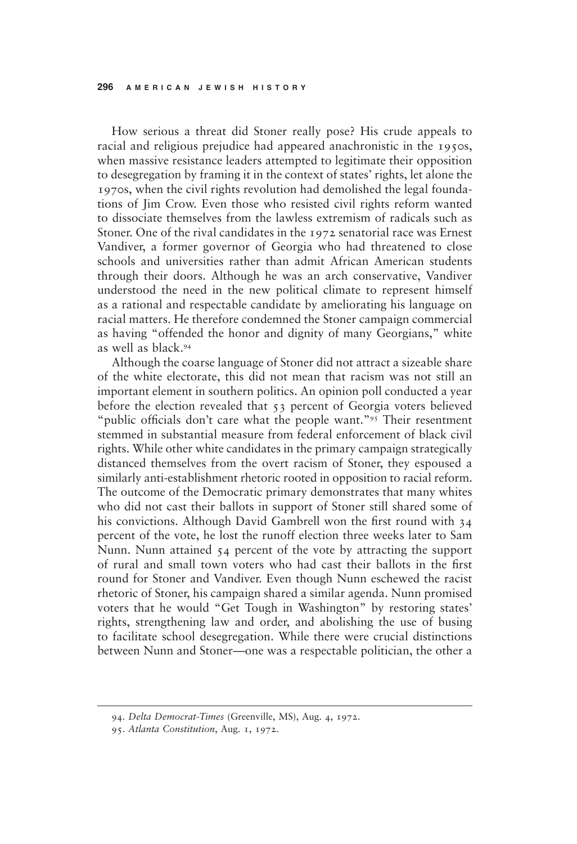How serious a threat did Stoner really pose? His crude appeals to racial and religious prejudice had appeared anachronistic in the 1950s, when massive resistance leaders attempted to legitimate their opposition to desegregation by framing it in the context of states' rights, let alone the 1970s, when the civil rights revolution had demolished the legal foundations of Jim Crow. Even those who resisted civil rights reform wanted to dissociate themselves from the lawless extremism of radicals such as Stoner. One of the rival candidates in the 1972 senatorial race was Ernest Vandiver, a former governor of Georgia who had threatened to close schools and universities rather than admit African American students through their doors. Although he was an arch conservative, Vandiver understood the need in the new political climate to represent himself as a rational and respectable candidate by ameliorating his language on racial matters. He therefore condemned the Stoner campaign commercial as having "offended the honor and dignity of many Georgians," white as well as black.<sup>94</sup>

Although the coarse language of Stoner did not attract a sizeable share of the white electorate, this did not mean that racism was not still an important element in southern politics. An opinion poll conducted a year before the election revealed that 53 percent of Georgia voters believed "public officials don't care what the people want."<sup>95</sup> Their resentment stemmed in substantial measure from federal enforcement of black civil rights. While other white candidates in the primary campaign strategically distanced themselves from the overt racism of Stoner, they espoused a similarly anti-establishment rhetoric rooted in opposition to racial reform. The outcome of the Democratic primary demonstrates that many whites who did not cast their ballots in support of Stoner still shared some of his convictions. Although David Gambrell won the first round with 34 percent of the vote, he lost the runoff election three weeks later to Sam Nunn. Nunn attained 54 percent of the vote by attracting the support of rural and small town voters who had cast their ballots in the first round for Stoner and Vandiver. Even though Nunn eschewed the racist rhetoric of Stoner, his campaign shared a similar agenda. Nunn promised voters that he would "Get Tough in Washington" by restoring states' rights, strengthening law and order, and abolishing the use of busing to facilitate school desegregation. While there were crucial distinctions between Nunn and Stoner—one was a respectable politician, the other a

<sup>94</sup>. *Delta Democrat-Times* (Greenville, MS), Aug. 4, 1972.

<sup>95</sup>. *Atlanta Constitution*, Aug. 1, 1972.